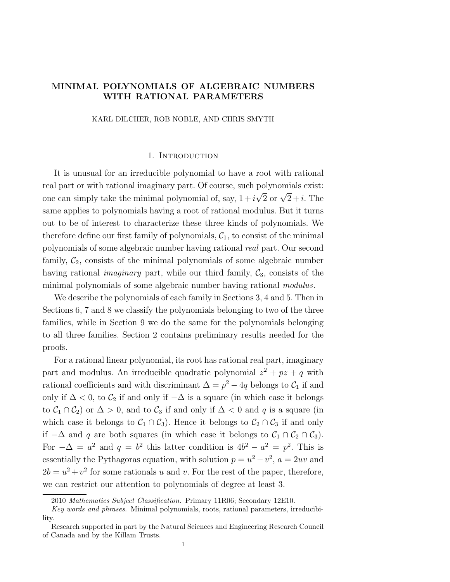# MINIMAL POLYNOMIALS OF ALGEBRAIC NUMBERS WITH RATIONAL PARAMETERS

KARL DILCHER, ROB NOBLE, AND CHRIS SMYTH

### 1. Introduction

It is unusual for an irreducible polynomial to have a root with rational real part or with rational imaginary part. Of course, such polynomials exist: one can simply take the minimal polynomial of, say,  $1 + i\sqrt{2}$  or  $\sqrt{2} + i$ . The same applies to polynomials having a root of rational modulus. But it turns out to be of interest to characterize these three kinds of polynomials. We therefore define our first family of polynomials,  $C_1$ , to consist of the minimal polynomials of some algebraic number having rational real part. Our second family,  $C_2$ , consists of the minimal polynomials of some algebraic number having rational *imaginary* part, while our third family,  $C_3$ , consists of the minimal polynomials of some algebraic number having rational *modulus*.

We describe the polynomials of each family in Sections 3, 4 and 5. Then in Sections 6, 7 and 8 we classify the polynomials belonging to two of the three families, while in Section 9 we do the same for the polynomials belonging to all three families. Section 2 contains preliminary results needed for the proofs.

For a rational linear polynomial, its root has rational real part, imaginary part and modulus. An irreducible quadratic polynomial  $z^2 + pz + q$  with rational coefficients and with discriminant  $\Delta = p^2 - 4q$  belongs to  $\mathcal{C}_1$  if and only if  $\Delta$  < 0, to  $\mathcal{C}_2$  if and only if  $-\Delta$  is a square (in which case it belongs to  $\mathcal{C}_1 \cap \mathcal{C}_2$  or  $\Delta > 0$ , and to  $\mathcal{C}_3$  if and only if  $\Delta < 0$  and q is a square (in which case it belongs to  $C_1 \cap C_3$ ). Hence it belongs to  $C_2 \cap C_3$  if and only if  $-\Delta$  and q are both squares (in which case it belongs to  $C_1 \cap C_2 \cap C_3$ ). For  $-\Delta = a^2$  and  $q = b^2$  this latter condition is  $4b^2 - a^2 = p^2$ . This is essentially the Pythagoras equation, with solution  $p = u^2 - v^2$ ,  $a = 2uv$  and  $2b = u^2 + v^2$  for some rationals u and v. For the rest of the paper, therefore, we can restrict our attention to polynomials of degree at least 3.

<sup>2010</sup> *Mathematics Subject Classification.* Primary 11R06; Secondary 12E10.

*Key words and phrases.* Minimal polynomials, roots, rational parameters, irreducibility.

Research supported in part by the Natural Sciences and Engineering Research Council of Canada and by the Killam Trusts.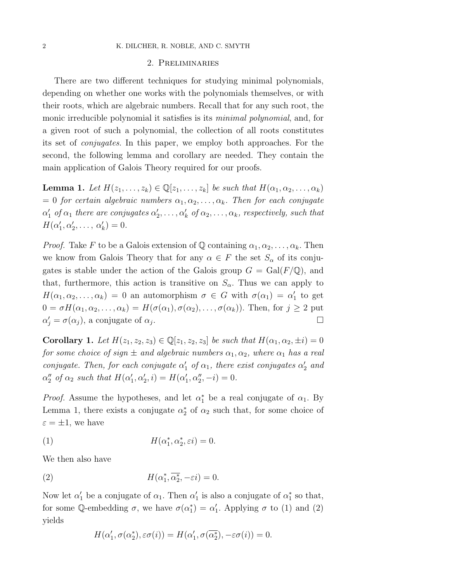#### 2 K. DILCHER, R. NOBLE, AND C. SMYTH

#### 2. Preliminaries

There are two different techniques for studying minimal polynomials, depending on whether one works with the polynomials themselves, or with their roots, which are algebraic numbers. Recall that for any such root, the monic irreducible polynomial it satisfies is its minimal polynomial, and, for a given root of such a polynomial, the collection of all roots constitutes its set of conjugates. In this paper, we employ both approaches. For the second, the following lemma and corollary are needed. They contain the main application of Galois Theory required for our proofs.

**Lemma 1.** Let  $H(z_1,\ldots,z_k) \in \mathbb{Q}[z_1,\ldots,z_k]$  be such that  $H(\alpha_1,\alpha_2,\ldots,\alpha_k)$  $= 0$  for certain algebraic numbers  $\alpha_1, \alpha_2, \ldots, \alpha_k$ . Then for each conjugate  $\alpha_1'$  of  $\alpha_1$  there are conjugates  $\alpha_2',\ldots,\alpha_k'$  of  $\alpha_2,\ldots,\alpha_k$ , respectively, such that  $H(\alpha'_1, \alpha'_2, \ldots, \alpha'_k)=0.$ 

*Proof.* Take F to be a Galois extension of Q containing  $\alpha_1, \alpha_2, \ldots, \alpha_k$ . Then we know from Galois Theory that for any  $\alpha \in F$  the set  $S_\alpha$  of its conjugates is stable under the action of the Galois group  $G = \text{Gal}(F/\mathbb{Q})$ , and that, furthermore, this action is transitive on  $S_{\alpha}$ . Thus we can apply to  $H(\alpha_1, \alpha_2, \dots, \alpha_k) = 0$  an automorphism  $\sigma \in G$  with  $\sigma(\alpha_1) = \alpha'_1$  to get  $0 = \sigma H(\alpha_1, \alpha_2, \ldots, \alpha_k) = H(\sigma(\alpha_1), \sigma(\alpha_2), \ldots, \sigma(\alpha_k))$ . Then, for  $j \geq 2$  put  $\alpha'_j = \sigma(\alpha_j)$ , a conjugate of  $\alpha_j$ .

**Corollary 1.** Let  $H(z_1, z_2, z_3) \in \mathbb{Q}[z_1, z_2, z_3]$  be such that  $H(\alpha_1, \alpha_2, \pm i)=0$ for some choice of sign  $\pm$  and algebraic numbers  $\alpha_1, \alpha_2$ , where  $\alpha_1$  has a real conjugate. Then, for each conjugate  $\alpha'_1$  of  $\alpha_1$ , there exist conjugates  $\alpha'_2$  and  $\alpha''_2$  of  $\alpha_2$  such that  $H(\alpha'_1, \alpha'_2, i) = H(\alpha'_1, \alpha''_2, -i) = 0.$ 

*Proof.* Assume the hypotheses, and let  $\alpha_1^*$  be a real conjugate of  $\alpha_1$ . By Lemma 1, there exists a conjugate  $\alpha_2^*$  of  $\alpha_2$  such that, for some choice of  $\varepsilon = \pm 1$ , we have

(1) 
$$
H(\alpha_1^*, \alpha_2^*, \varepsilon i) = 0.
$$

We then also have

(2) 
$$
H(\alpha_1^*, \overline{\alpha_2^*}, -\varepsilon i) = 0.
$$

Now let  $\alpha'_1$  be a conjugate of  $\alpha_1$ . Then  $\alpha'_1$  is also a conjugate of  $\alpha_1^*$  so that, for some Q-embedding  $\sigma$ , we have  $\sigma(\alpha_1^*) = \alpha_1'$ . Applying  $\sigma$  to (1) and (2) yields

$$
H(\alpha'_1, \sigma(\alpha_2^*), \varepsilon\sigma(i)) = H(\alpha'_1, \sigma(\overline{\alpha_2^*}), -\varepsilon\sigma(i)) = 0.
$$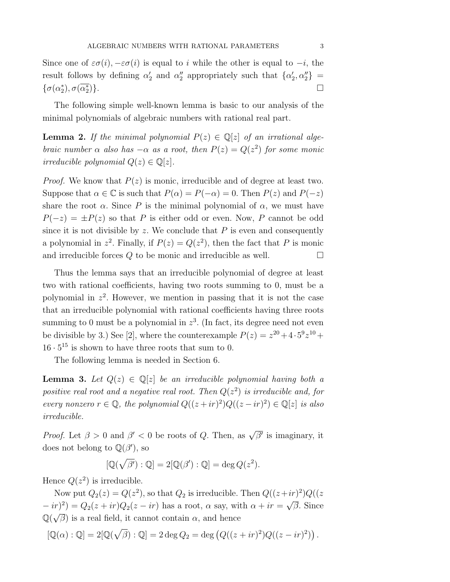The following simple well-known lemma is basic to our analysis of the minimal polynomials of algebraic numbers with rational real part.

**Lemma 2.** If the minimal polynomial  $P(z) \in \mathbb{Q}[z]$  of an irrational algebraic number  $\alpha$  also has  $-\alpha$  as a root, then  $P(z) = Q(z^2)$  for some monic irreducible polynomial  $Q(z) \in \mathbb{Q}[z]$ .

*Proof.* We know that  $P(z)$  is monic, irreducible and of degree at least two. Suppose that  $\alpha \in \mathbb{C}$  is such that  $P(\alpha) = P(-\alpha) = 0$ . Then  $P(z)$  and  $P(-z)$ share the root  $\alpha$ . Since P is the minimal polynomial of  $\alpha$ , we must have  $P(-z) = \pm P(z)$  so that P is either odd or even. Now, P cannot be odd since it is not divisible by  $z$ . We conclude that  $P$  is even and consequently a polynomial in  $z^2$ . Finally, if  $P(z) = Q(z^2)$ , then the fact that P is monic and irreducible forces  $Q$  to be monic and irreducible as well.  $\Box$ 

Thus the lemma says that an irreducible polynomial of degree at least two with rational coefficients, having two roots summing to 0, must be a polynomial in  $z^2$ . However, we mention in passing that it is not the case that an irreducible polynomial with rational coefficients having three roots summing to 0 must be a polynomial in  $z<sup>3</sup>$ . (In fact, its degree need not even be divisible by 3.) See [2], where the counterexample  $P(z) = z^{20} + 4 \cdot 5^9 z^{10} +$  $16 \cdot 5^{15}$  is shown to have three roots that sum to 0.

The following lemma is needed in Section 6.

**Lemma 3.** Let  $Q(z) \in \mathbb{Q}[z]$  be an irreducible polynomial having both a positive real root and a negative real root. Then  $Q(z^2)$  is irreducible and, for every nonzero  $r \in \mathbb{Q}$ , the polynomial  $Q((z + ir)^2)Q((z - ir)^2) \in \mathbb{Q}[z]$  is also irreducible.

*Proof.* Let  $\beta > 0$  and  $\beta' < 0$  be roots of Q. Then, as  $\sqrt{\beta'}$  is imaginary, it does not belong to  $\mathbb{Q}(\beta')$ , so

$$
[\mathbb{Q}(\sqrt{\beta'}): \mathbb{Q}] = 2[\mathbb{Q}(\beta') : \mathbb{Q}] = \deg Q(z^2).
$$

Hence  $Q(z^2)$  is irreducible.

Now put  $Q_2(z) = Q(z^2)$ , so that  $Q_2$  is irreducible. Then  $Q((z+ir)^2)Q((z+ir)^2)$  $(-ir)^2$ ) =  $Q_2(z + ir)Q_2(z - ir)$  has a root,  $\alpha$  say, with  $\alpha + ir = \sqrt{\beta}$ . Since  $\mathbb{Q}(\sqrt{\beta})$  is a real field, it cannot contain  $\alpha$ , and hence

$$
[\mathbb{Q}(\alpha) : \mathbb{Q}] = 2[\mathbb{Q}(\sqrt{\beta}) : \mathbb{Q}] = 2 \deg Q_2 = \deg (Q((z + ir)^2)Q((z - ir)^2)).
$$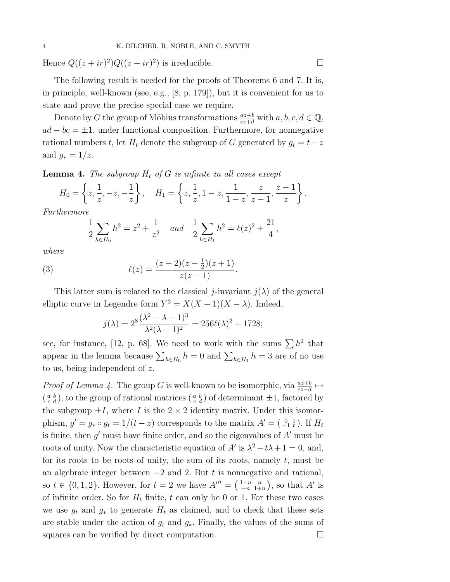Hence  $Q((z + ir)^2)Q((z - ir)^2)$  is irreducible.

The following result is needed for the proofs of Theorems 6 and 7. It is, in principle, well-known (see, e.g., [8, p. 179]), but it is convenient for us to state and prove the precise special case we require.

Denote by G the group of Möbius transformations  $\frac{az+b}{cz+d}$  with  $a, b, c, d \in \mathbb{Q}$ ,  $ad - bc = \pm 1$ , under functional composition. Furthermore, for nonnegative rational numbers t, let  $H_t$  denote the subgroup of G generated by  $g_t = t-z$ and  $g_* = 1/z$ .

**Lemma 4.** The subgroup  $H_t$  of G is infinite in all cases except

$$
H_0 = \left\{ z, \frac{1}{z}, -z, -\frac{1}{z} \right\}, \quad H_1 = \left\{ z, \frac{1}{z}, 1-z, \frac{1}{1-z}, \frac{z}{z-1}, \frac{z-1}{z} \right\}.
$$

Furthermore

$$
\frac{1}{2}\sum_{h\in H_0}h^2=z^2+\frac{1}{z^2} \quad and \quad \frac{1}{2}\sum_{h\in H_1}h^2=\ell(z)^2+\frac{21}{4},
$$

where

(3) 
$$
\ell(z) = \frac{(z-2)(z-\frac{1}{2})(z+1)}{z(z-1)}.
$$

This latter sum is related to the classical j-invariant  $j(\lambda)$  of the general elliptic curve in Legendre form  $Y^2 = X(X-1)(X-\lambda)$ . Indeed,

$$
j(\lambda) = 2^8 \frac{(\lambda^2 - \lambda + 1)^3}{\lambda^2 (\lambda - 1)^2} = 256 \ell(\lambda)^2 + 1728;
$$

see, for instance, [12, p. 68]. We need to work with the sums  $\sum h^2$  that appear in the lemma because  $\sum_{h \in H_0} h = 0$  and  $\sum_{h \in H_1} h = 3$  are of no use to us, being independent of z.

*Proof of Lemma 4.* The group G is well-known to be isomorphic, via  $\frac{az+b}{cz+d} \mapsto$  $\left(\begin{smallmatrix} a & b \\ c & d \end{smallmatrix}\right)$ , to the group of rational matrices  $\left(\begin{smallmatrix} a & b \\ c & d \end{smallmatrix}\right)$  of determinant  $\pm 1$ , factored by the subgroup  $\pm I$ , where I is the  $2 \times 2$  identity matrix. Under this isomorphism,  $g' = g_* \circ g_t = 1/(t - z)$  corresponds to the matrix  $A' = \begin{pmatrix} 0 & 1 \\ -1 & t \end{pmatrix}$ . If  $H_t$ is finite, then  $g'$  must have finite order, and so the eigenvalues of  $A'$  must be roots of unity. Now the characteristic equation of A' is  $\lambda^2 - t\lambda + 1 = 0$ , and, for its roots to be roots of unity, the sum of its roots, namely  $t$ , must be an algebraic integer between  $-2$  and 2. But t is nonnegative and rational, so  $t \in \{0, 1, 2\}$ . However, for  $t = 2$  we have  $A^m = \begin{pmatrix} 1-n & n \\ -n & 1+n \end{pmatrix}$ , so that  $A'$  is of infinite order. So for  $H_t$  finite, t can only be 0 or 1. For these two cases we use  $g_t$  and  $g_*$  to generate  $H_t$  as claimed, and to check that these sets are stable under the action of  $g_t$  and  $g_*$ . Finally, the values of the sums of squares can be verified by direct computation.  $\Box$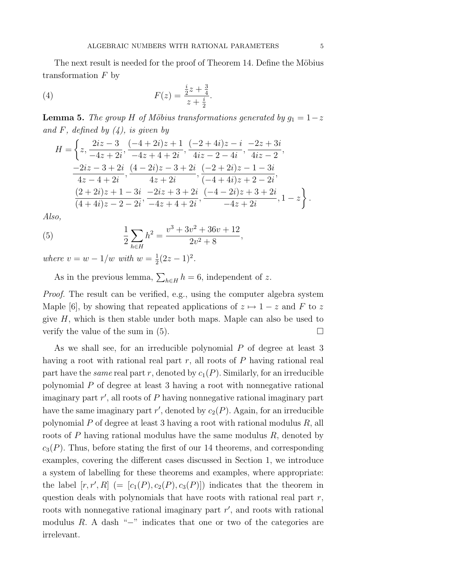The next result is needed for the proof of Theorem 14. Define the Möbius transformation  $F$  by

(4) 
$$
F(z) = \frac{\frac{i}{2}z + \frac{3}{4}}{z + \frac{i}{2}}.
$$

**Lemma 5.** The group H of Möbius transformations generated by  $g_1 = 1-z$ and F, defined by  $(4)$ , is given by

$$
H = \left\{ z, \frac{2iz - 3}{-4z + 2i}, \frac{(-4 + 2i)z + 1}{-4z + 4 + 2i}, \frac{(-2 + 4i)z - i}{4iz - 2 - 4i}, \frac{-2z + 3i}{4iz - 2}, \frac{-2iz - 3 + 2i}{4z - 4 + 2i}, \frac{(4 - 2i)z - 3 + 2i}{4z + 2i}, \frac{(-2 + 2i)z - 1 - 3i}{(-4 + 4i)z + 2 - 2i}, \frac{(2 + 2i)z + 1 - 3i}{(4 + 4i)z - 2 - 2i}, \frac{-2iz + 3 + 2i}{-4z + 4 + 2i}, \frac{(-4 - 2i)z + 3 + 2i}{-4z + 2i}, 1 - z \right\}.
$$

Also,

(5) 
$$
\frac{1}{2} \sum_{h \in H} h^2 = \frac{v^3 + 3v^2 + 36v + 12}{2v^2 + 8},
$$

where  $v = w - 1/w$  with  $w = \frac{1}{2}(2z - 1)^2$ .

As in the previous lemma,  $\sum_{h\in H} h = 6$ , independent of z.

Proof. The result can be verified, e.g., using the computer algebra system Maple [6], by showing that repeated applications of  $z \mapsto 1 - z$  and F to z give  $H$ , which is then stable under both maps. Maple can also be used to verify the value of the sum in (5).  $\Box$ 

As we shall see, for an irreducible polynomial P of degree at least 3 having a root with rational real part  $r$ , all roots of  $P$  having rational real part have the *same* real part r, denoted by  $c_1(P)$ . Similarly, for an irreducible polynomial P of degree at least 3 having a root with nonnegative rational imaginary part  $r'$ , all roots of  $P$  having nonnegative rational imaginary part have the same imaginary part  $r'$ , denoted by  $c_2(P)$ . Again, for an irreducible polynomial P of degree at least 3 having a root with rational modulus  $R$ , all roots of  $P$  having rational modulus have the same modulus  $R$ , denoted by  $c_3(P)$ . Thus, before stating the first of our 14 theorems, and corresponding examples, covering the different cases discussed in Section 1, we introduce a system of labelling for these theorems and examples, where appropriate: the label  $[r, r', R]$  (=  $[c_1(P), c_2(P), c_3(P)]$ ) indicates that the theorem in question deals with polynomials that have roots with rational real part  $r$ , roots with nonnegative rational imaginary part  $r'$ , and roots with rational modulus  $R$ . A dash "−" indicates that one or two of the categories are irrelevant.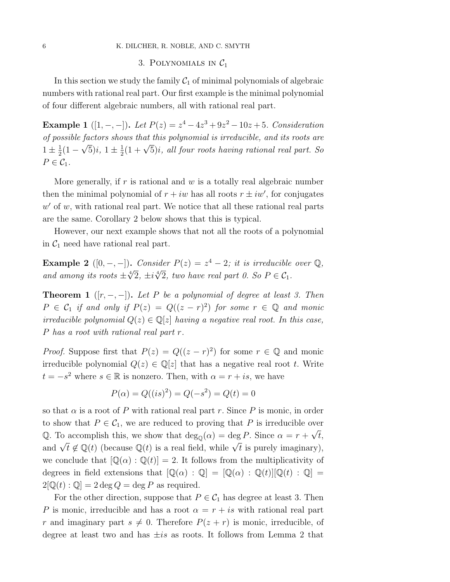#### 6 K. DILCHER, R. NOBLE, AND C. SMYTH

# 3. POLYNOMIALS IN  $C_1$

In this section we study the family  $C_1$  of minimal polynomials of algebraic numbers with rational real part. Our first example is the minimal polynomial of four different algebraic numbers, all with rational real part.

Example 1 ([1, -, -]). Let  $P(z) = z^4 - 4z^3 + 9z^2 - 10z + 5$ . Consideration of possible factors shows that this polynomial is irreducible, and its roots are  $1 \pm \frac{1}{2}(1-\sqrt{5})i$ ,  $1 \pm \frac{1}{2}(1+\sqrt{5})i$ , all four roots having rational real part. So  $P \in \mathcal{C}_1$ .

More generally, if  $r$  is rational and  $w$  is a totally real algebraic number then the minimal polynomial of  $r + iw$  has all roots  $r \pm iw'$ , for conjugates  $w'$  of w, with rational real part. We notice that all these rational real parts are the same. Corollary 2 below shows that this is typical.

However, our next example shows that not all the roots of a polynomial in  $C_1$  need have rational real part.

**Example 2** ([0, -, -]). Consider  $P(z) = z^4 - 2$ ; it is irreducible over  $\mathbb{Q}$ , and among its roots  $\pm \sqrt[4]{2}$ ,  $\pm i\sqrt[4]{2}$ , two have real part 0. So  $P \in C_1$ .

**Theorem 1** ( $[r, -, -]$ ). Let P be a polynomial of degree at least 3. Then  $P \in C_1$  if and only if  $P(z) = Q((z - r)^2)$  for some  $r \in \mathbb{Q}$  and monic irreducible polynomial  $Q(z) \in \mathbb{Q}[z]$  having a negative real root. In this case, P has a root with rational real part r.

*Proof.* Suppose first that  $P(z) = Q((z - r)^2)$  for some  $r \in \mathbb{Q}$  and monic irreducible polynomial  $Q(z) \in \mathbb{Q}[z]$  that has a negative real root t. Write  $t = -s^2$  where  $s \in \mathbb{R}$  is nonzero. Then, with  $\alpha = r + is$ , we have

$$
P(\alpha) = Q((is)^{2}) = Q(-s^{2}) = Q(t) = 0
$$

so that  $\alpha$  is a root of P with rational real part r. Since P is monic, in order to show that  $P \in C_1$ , we are reduced to proving that P is irreducible over Q. To accomplish this, we show that  $\deg_{\mathbb{Q}}(\alpha) = \deg P$ . Since  $\alpha = r + \sqrt{t}$ , and  $\sqrt{t} \notin \mathbb{Q}(t)$  (because  $\mathbb{Q}(t)$  is a real field, while  $\sqrt{t}$  is purely imaginary), we conclude that  $[\mathbb{Q}(\alpha):\mathbb{Q}(t)]=2$ . It follows from the multiplicativity of degrees in field extensions that  $[\mathbb{Q}(\alpha) : \mathbb{Q}] = [\mathbb{Q}(\alpha) : \mathbb{Q}(t)][\mathbb{Q}(t) : \mathbb{Q}] =$  $2\mathbb{Q}(t): \mathbb{Q} = 2 \deg Q = \deg P$  as required.

For the other direction, suppose that  $P \in C_1$  has degree at least 3. Then P is monic, irreducible and has a root  $\alpha = r + i s$  with rational real part r and imaginary part  $s \neq 0$ . Therefore  $P(z + r)$  is monic, irreducible, of degree at least two and has  $\pm is$  as roots. It follows from Lemma 2 that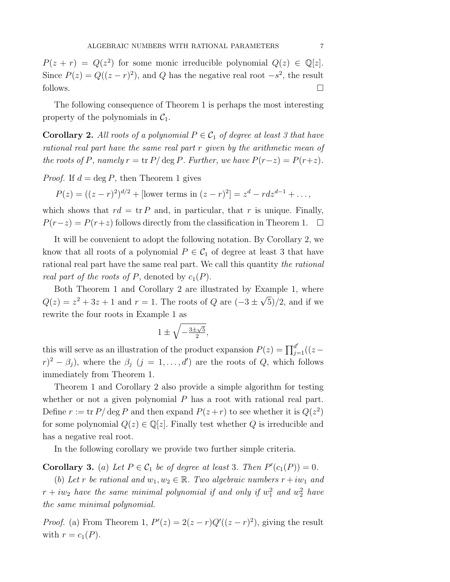$P(z + r) = Q(z^2)$  for some monic irreducible polynomial  $Q(z) \in \mathbb{Q}[z]$ . Since  $P(z) = Q((z - r)^2)$ , and Q has the negative real root  $-s^2$ , the result follows.  $\Box$ 

The following consequence of Theorem 1 is perhaps the most interesting property of the polynomials in  $C_1$ .

**Corollary 2.** All roots of a polynomial  $P \in C_1$  of degree at least 3 that have rational real part have the same real part r given by the arithmetic mean of the roots of P, namely  $r = \text{tr } P/\deg P$ . Further, we have  $P(r-z) = P(r+z)$ .

*Proof.* If  $d = \deg P$ , then Theorem 1 gives

 $P(z) = ((z - r)^2)^{d/2} + [\text{lower terms in } (z - r)^2] = z^d - r dz^{d-1} + \dots,$ 

which shows that  $rd = \text{tr } P$  and, in particular, that r is unique. Finally,  $P(r-z) = P(r+z)$  follows directly from the classification in Theorem 1.  $\Box$ 

It will be convenient to adopt the following notation. By Corollary 2, we know that all roots of a polynomial  $P \in C_1$  of degree at least 3 that have rational real part have the same real part. We call this quantity the rational real part of the roots of P, denoted by  $c_1(P)$ .

Both Theorem 1 and Corollary 2 are illustrated by Example 1, where  $Q(z) = z^2 + 3z + 1$  and  $r = 1$ . The roots of Q are  $(-3 \pm \sqrt{5})/2$ , and if we rewrite the four roots in Example 1 as

$$
1 \pm \sqrt{-\frac{3 \pm \sqrt{5}}{2}},
$$

this will serve as an illustration of the product expansion  $P(z) = \prod_{j=1}^{d'}((z (r)^2 - \beta_j$ , where the  $\beta_j$   $(j = 1, ..., d')$  are the roots of Q, which follows immediately from Theorem 1.

Theorem 1 and Corollary 2 also provide a simple algorithm for testing whether or not a given polynomial  $P$  has a root with rational real part. Define  $r := \text{tr } P / \deg P$  and then expand  $P(z+r)$  to see whether it is  $Q(z^2)$ for some polynomial  $Q(z) \in \mathbb{Q}[z]$ . Finally test whether Q is irreducible and has a negative real root.

In the following corollary we provide two further simple criteria.

**Corollary 3.** (a) Let  $P \in C_1$  be of degree at least 3. Then  $P'(c_1(P)) = 0$ .

(b) Let r be rational and  $w_1, w_2 \in \mathbb{R}$ . Two algebraic numbers  $r + iw_1$  and  $r+iw_2$  have the same minimal polynomial if and only if  $w_1^2$  and  $w_2^2$  have the same minimal polynomial.

*Proof.* (a) From Theorem 1,  $P'(z) = 2(z - r)Q'((z - r)^2)$ , giving the result with  $r = c_1(P)$ .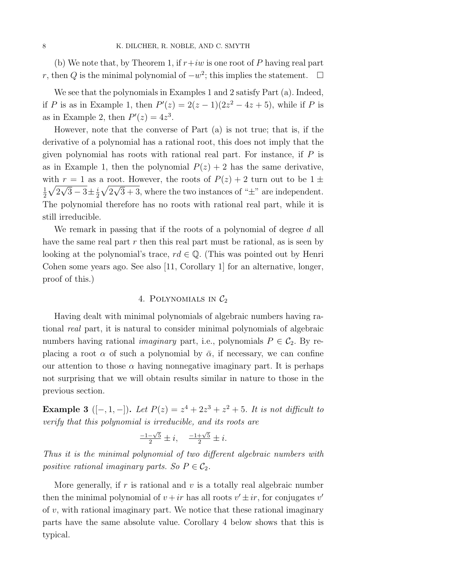(b) We note that, by Theorem 1, if  $r+iw$  is one root of P having real part r, then Q is the minimal polynomial of  $-w^2$ ; this implies the statement.  $\square$ 

We see that the polynomials in Examples 1 and 2 satisfy Part (a). Indeed, if *P* is as in Example 1, then  $P'(z) = 2(z - 1)(2z^2 - 4z + 5)$ , while if *P* is as in Example 2, then  $P'(z) = 4z^3$ .

However, note that the converse of Part (a) is not true; that is, if the derivative of a polynomial has a rational root, this does not imply that the given polynomial has roots with rational real part. For instance, if  $P$  is as in Example 1, then the polynomial  $P(z) + 2$  has the same derivative, with  $r = 1$  as a root. However, the roots of  $P(z) + 2$  turn out to be  $1 \pm \sqrt{z}$ 1  $\frac{1}{2}\sqrt{2\sqrt{3}-3}\pm\frac{i}{2}\sqrt{2\sqrt{3}+3}$ , where the two instances of " $\pm$ " are independent. The polynomial therefore has no roots with rational real part, while it is still irreducible.

We remark in passing that if the roots of a polynomial of degree d all have the same real part  $r$  then this real part must be rational, as is seen by looking at the polynomial's trace,  $rd \in \mathbb{Q}$ . (This was pointed out by Henri Cohen some years ago. See also [11, Corollary 1] for an alternative, longer, proof of this.)

## 4. POLYNOMIALS IN  $C_2$

Having dealt with minimal polynomials of algebraic numbers having rational real part, it is natural to consider minimal polynomials of algebraic numbers having rational *imaginary* part, i.e., polynomials  $P \in C_2$ . By replacing a root  $\alpha$  of such a polynomial by  $\bar{\alpha}$ , if necessary, we can confine our attention to those  $\alpha$  having nonnegative imaginary part. It is perhaps not surprising that we will obtain results similar in nature to those in the previous section.

Example 3 ([-, 1, -]). Let  $P(z) = z^4 + 2z^3 + z^2 + 5$ . It is not difficult to verify that this polynomial is irreducible, and its roots are

$$
\frac{-1-\sqrt{5}}{2} \pm i, \quad \frac{-1+\sqrt{5}}{2} \pm i.
$$

Thus it is the minimal polynomial of two different algebraic numbers with positive rational imaginary parts. So  $P \in \mathcal{C}_2$ .

More generally, if  $r$  is rational and  $v$  is a totally real algebraic number then the minimal polynomial of  $v + ir$  has all roots  $v' \pm ir$ , for conjugates v' of  $v$ , with rational imaginary part. We notice that these rational imaginary parts have the same absolute value. Corollary 4 below shows that this is typical.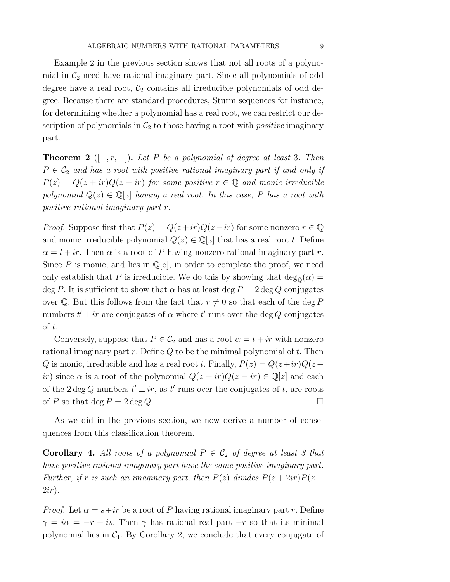Example 2 in the previous section shows that not all roots of a polynomial in  $\mathcal{C}_2$  need have rational imaginary part. Since all polynomials of odd degree have a real root,  $C_2$  contains all irreducible polynomials of odd degree. Because there are standard procedures, Sturm sequences for instance, for determining whether a polynomial has a real root, we can restrict our description of polynomials in  $C_2$  to those having a root with *positive* imaginary part.

**Theorem 2** ( $[-, r, -]$ ). Let P be a polynomial of degree at least 3. Then  $P \in C_2$  and has a root with positive rational imaginary part if and only if  $P(z) = Q(z + ir)Q(z - ir)$  for some positive  $r \in \mathbb{Q}$  and monic irreducible polynomial  $Q(z) \in \mathbb{Q}[z]$  having a real root. In this case, P has a root with positive rational imaginary part r.

*Proof.* Suppose first that  $P(z) = Q(z + ir)Q(z - ir)$  for some nonzero  $r \in \mathbb{Q}$ and monic irreducible polynomial  $Q(z) \in \mathbb{Q}[z]$  that has a real root t. Define  $\alpha = t + ir$ . Then  $\alpha$  is a root of P having nonzero rational imaginary part r. Since P is monic, and lies in  $\mathbb{Q}[z]$ , in order to complete the proof, we need only establish that P is irreducible. We do this by showing that  $\deg_{\mathbb{Q}}(\alpha) =$ deg P. It is sufficient to show that  $\alpha$  has at least deg  $P = 2$  deg Q conjugates over Q. But this follows from the fact that  $r \neq 0$  so that each of the deg P numbers  $t' \pm ir$  are conjugates of  $\alpha$  where  $t'$  runs over the deg  $Q$  conjugates of t.

Conversely, suppose that  $P \in C_2$  and has a root  $\alpha = t + ir$  with nonzero rational imaginary part  $r$ . Define  $Q$  to be the minimal polynomial of  $t$ . Then Q is monic, irreducible and has a real root t. Finally,  $P(z) = Q(z+ir)Q(z$ ir) since  $\alpha$  is a root of the polynomial  $Q(z + ir)Q(z - ir) \in \mathbb{Q}[z]$  and each of the  $2 \deg Q$  numbers  $t' \pm ir$ , as  $t'$  runs over the conjugates of  $t$ , are roots of P so that deg  $P = 2 \deg Q$ .

As we did in the previous section, we now derive a number of consequences from this classification theorem.

**Corollary 4.** All roots of a polynomial  $P \in C_2$  of degree at least 3 that have positive rational imaginary part have the same positive imaginary part. Further, if r is such an imaginary part, then  $P(z)$  divides  $P(z+2ir)P(z 2ir)$ .

*Proof.* Let  $\alpha = s + ir$  be a root of P having rational imaginary part r. Define  $\gamma = i\alpha = -r + i s$ . Then  $\gamma$  has rational real part  $-r$  so that its minimal polynomial lies in  $C_1$ . By Corollary 2, we conclude that every conjugate of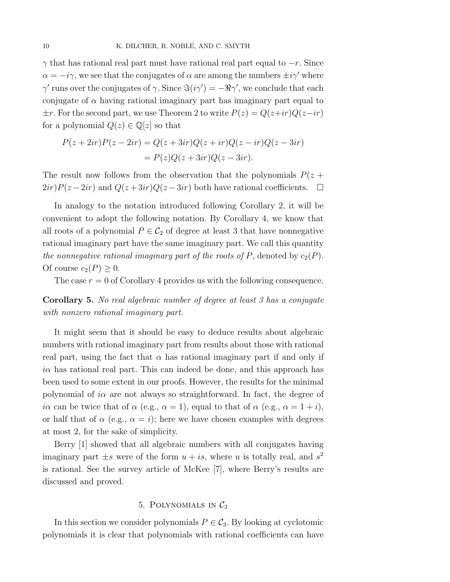$\gamma$  that has rational real part must have rational real part equal to  $-r$ . Since  $\alpha = -i\gamma$ , we see that the conjugates of  $\alpha$  are among the numbers  $\pm i\gamma'$  where  $\gamma'$  runs over the conjugates of  $\gamma$ . Since  $\Im(i\gamma') = -\Re\gamma'$ , we conclude that each conjugate of  $\alpha$  having rational imaginary part has imaginary part equal to  $\pm r$ . For the second part, we use Theorem 2 to write  $P(z) = Q(z+ir)Q(z-ir)$ for a polynomial  $Q(z) \in \mathbb{Q}[z]$  so that

$$
P(z+2ir)P(z-2ir) = Q(z+3ir)Q(z+ir)Q(z-ir)Q(z-3ir)
$$

$$
= P(z)Q(z+3ir)Q(z-3ir).
$$

The result now follows from the observation that the polynomials  $P(z +$  $2ir)P(z-2ir)$  and  $Q(z+3ir)Q(z-3ir)$  both have rational coefficients.  $\Box$ 

In analogy to the notation introduced following Corollary 2, it will be convenient to adopt the following notation. By Corollary 4, we know that all roots of a polynomial  $P \in C_2$  of degree at least 3 that have nonnegative rational imaginary part have the same imaginary part. We call this quantity the nonnegative rational imaginary part of the roots of P, denoted by  $c_2(P)$ . Of course  $c_2(P) \geq 0$ .

The case  $r = 0$  of Corollary 4 provides us with the following consequence.

Corollary 5. No real algebraic number of degree at least 3 has a conjugate with nonzero rational imaginary part.

It might seem that it should be easy to deduce results about algebraic numbers with rational imaginary part from results about those with rational real part, using the fact that  $\alpha$  has rational imaginary part if and only if  $i\alpha$  has rational real part. This can indeed be done, and this approach has been used to some extent in our proofs. However, the results for the minimal polynomial of  $i\alpha$  are not always so straightforward. In fact, the degree of iα can be twice that of  $\alpha$  (e.g.,  $\alpha = 1$ ), equal to that of  $\alpha$  (e.g.,  $\alpha = 1+i$ ), or half that of  $\alpha$  (e.g.,  $\alpha = i$ ); here we have chosen examples with degrees at most 2, for the sake of simplicity.

Berry [1] showed that all algebraic numbers with all conjugates having imaginary part  $\pm s$  were of the form  $u + is$ , where u is totally real, and  $s^2$ is rational. See the survey article of McKee [7], where Berry's results are discussed and proved.

## 5. POLYNOMIALS IN  $C_3$

In this section we consider polynomials  $P \in C_3$ . By looking at cyclotomic polynomials it is clear that polynomials with rational coefficients can have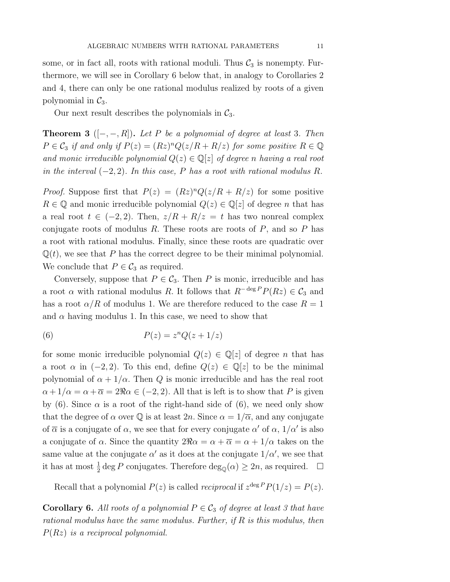some, or in fact all, roots with rational moduli. Thus  $C_3$  is nonempty. Furthermore, we will see in Corollary 6 below that, in analogy to Corollaries 2 and 4, there can only be one rational modulus realized by roots of a given polynomial in  $\mathcal{C}_3$ .

Our next result describes the polynomials in  $C_3$ .

**Theorem 3** ( $[-, -, R]$ ). Let P be a polynomial of degree at least 3. Then  $P \in \mathcal{C}_3$  if and only if  $P(z)=(Rz)^nQ(z/R + R/z)$  for some positive  $R \in \mathbb{Q}$ and monic irreducible polynomial  $Q(z) \in \mathbb{Q}[z]$  of degree n having a real root in the interval  $(-2, 2)$ . In this case, P has a root with rational modulus R.

*Proof.* Suppose first that  $P(z)=(Rz)^nQ(z/R + R/z)$  for some positive  $R \in \mathbb{Q}$  and monic irreducible polynomial  $Q(z) \in \mathbb{Q}[z]$  of degree *n* that has a real root  $t \in (-2, 2)$ . Then,  $z/R + R/z = t$  has two nonreal complex conjugate roots of modulus  $R$ . These roots are roots of  $P$ , and so  $P$  has a root with rational modulus. Finally, since these roots are quadratic over  $\mathbb{Q}(t)$ , we see that P has the correct degree to be their minimal polynomial. We conclude that  $P \in C_3$  as required.

Conversely, suppose that  $P \in \mathcal{C}_3$ . Then P is monic, irreducible and has a root  $\alpha$  with rational modulus R. It follows that  $R^{- \deg P} P(Rz) \in C_3$  and has a root  $\alpha/R$  of modulus 1. We are therefore reduced to the case  $R = 1$ and  $\alpha$  having modulus 1. In this case, we need to show that

(6) 
$$
P(z) = z^n Q(z + 1/z)
$$

for some monic irreducible polynomial  $Q(z) \in \mathbb{Q}[z]$  of degree *n* that has a root  $\alpha$  in  $(-2, 2)$ . To this end, define  $Q(z) \in \mathbb{Q}[z]$  to be the minimal polynomial of  $\alpha + 1/\alpha$ . Then Q is monic irreducible and has the real root  $\alpha + 1/\alpha = \alpha + \overline{\alpha} = 2\Re \alpha \in (-2, 2)$ . All that is left is to show that P is given by (6). Since  $\alpha$  is a root of the right-hand side of (6), we need only show that the degree of  $\alpha$  over Q is at least  $2n$ . Since  $\alpha = 1/\overline{\alpha}$ , and any conjugate of  $\bar{\alpha}$  is a conjugate of  $\alpha$ , we see that for every conjugate  $\alpha'$  of  $\alpha$ ,  $1/\alpha'$  is also a conjugate of  $\alpha$ . Since the quantity  $2\Re \alpha = \alpha + \overline{\alpha} = \alpha + 1/\alpha$  takes on the same value at the conjugate  $\alpha'$  as it does at the conjugate  $1/\alpha'$ , we see that it has at most  $\frac{1}{2}$  deg P conjugates. Therefore  $\deg_{\mathbb{Q}}(\alpha) \geq 2n$ , as required.  $\Box$ 

Recall that a polynomial  $P(z)$  is called *reciprocal* if  $z^{\text{deg }P}P(1/z) = P(z)$ .

**Corollary 6.** All roots of a polynomial  $P \in C_3$  of degree at least 3 that have rational modulus have the same modulus. Further, if  $R$  is this modulus, then  $P(Rz)$  is a reciprocal polynomial.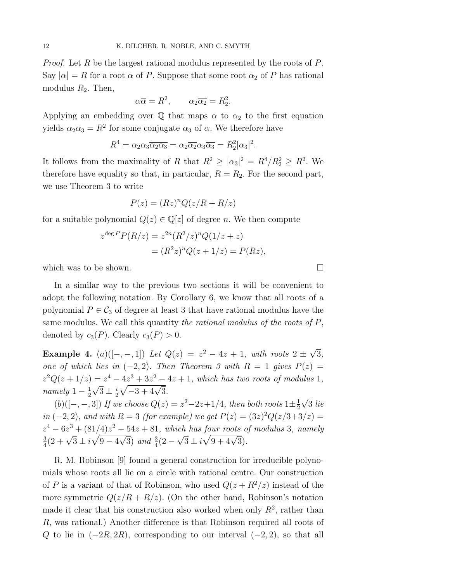*Proof.* Let R be the largest rational modulus represented by the roots of P. Say  $|\alpha| = R$  for a root  $\alpha$  of P. Suppose that some root  $\alpha_2$  of P has rational modulus  $R_2$ . Then,

$$
\alpha \overline{\alpha} = R^2, \qquad \alpha_2 \overline{\alpha_2} = R_2^2.
$$

Applying an embedding over  $\mathbb Q$  that maps  $\alpha$  to  $\alpha_2$  to the first equation yields  $\alpha_2 \alpha_3 = R^2$  for some conjugate  $\alpha_3$  of  $\alpha$ . We therefore have

$$
R^4 = \alpha_2 \alpha_3 \overline{\alpha_2 \alpha_3} = \alpha_2 \overline{\alpha_2} \alpha_3 \overline{\alpha_3} = R_2^2 |\alpha_3|^2.
$$

It follows from the maximality of R that  $R^2 \ge |\alpha_3|^2 = R^4/R_2^2 \ge R^2$ . We therefore have equality so that, in particular,  $R = R_2$ . For the second part, we use Theorem 3 to write

$$
P(z) = (Rz)^n Q(z/R + R/z)
$$

for a suitable polynomial  $Q(z) \in \mathbb{Q}[z]$  of degree n. We then compute

$$
z^{\deg P} P(R/z) = z^{2n} (R^2/z)^n Q(1/z + z)
$$
  
= 
$$
(R^2 z)^n Q(z + 1/z) = P(Rz),
$$

which was to be shown.  $\Box$ 

In a similar way to the previous two sections it will be convenient to adopt the following notation. By Corollary 6, we know that all roots of a polynomial  $P \in C_3$  of degree at least 3 that have rational modulus have the same modulus. We call this quantity the rational modulus of the roots of P, denoted by  $c_3(P)$ . Clearly  $c_3(P) > 0$ .

Example 4.  $(a)([-,-,1])$  Let  $Q(z) = z^2 - 4z + 1$ , with roots  $2 \pm \sqrt{3}$ , one of which lies in  $(-2, 2)$ . Then Theorem 3 with  $R = 1$  gives  $P(z) =$  $z^{2}Q(z+1/z) = z^{4} - 4z^{3} + 3z^{2} - 4z + 1$ , which has two roots of modulus 1,  $namely$   $1 - \frac{1}{2}\sqrt{3} \pm \frac{i}{2}\sqrt{-3 + 4\sqrt{3}}$ .

(b)([-,-,3]) If we choose  $Q(z) = z^2 - 2z + 1/4$ , then both roots  $1 \pm \frac{1}{2}\sqrt{3}$  lie in (−2, 2), and with R = 3 (for example) we get  $P(z) = (3z)^2 Q(z/3+3/z) =$  $z^4 - 6z^3 + (81/4)z^2 - 54z + 81$ , which has four roots of modulus 3, namely  $\frac{3}{4}(2+\sqrt{3}\pm i\sqrt{9-4\sqrt{3}})$  and  $\frac{3}{4}(2-\sqrt{3}\pm i\sqrt{9+4\sqrt{3}})$ .

R. M. Robinson [9] found a general construction for irreducible polynomials whose roots all lie on a circle with rational centre. Our construction of P is a variant of that of Robinson, who used  $Q(z + R^2/z)$  instead of the more symmetric  $Q(z/R + R/z)$ . (On the other hand, Robinson's notation made it clear that his construction also worked when only  $R^2$ , rather than R, was rational.) Another difference is that Robinson required all roots of Q to lie in  $(-2R, 2R)$ , corresponding to our interval  $(-2, 2)$ , so that all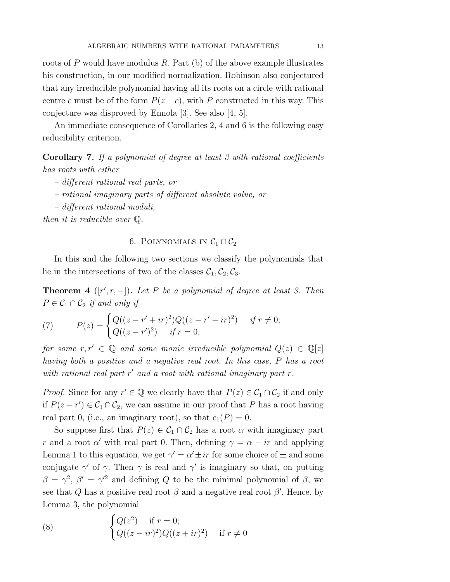roots of  $P$  would have modulus  $R$ . Part (b) of the above example illustrates his construction, in our modified normalization. Robinson also conjectured that any irreducible polynomial having all its roots on a circle with rational centre c must be of the form  $P(z - c)$ , with P constructed in this way. This conjecture was disproved by Ennola [3]. See also [4, 5].

An immediate consequence of Corollaries 2, 4 and 6 is the following easy reducibility criterion.

Corollary 7. If a polynomial of degree at least 3 with rational coefficients has roots with either

- different rational real parts, or
- rational imaginary parts of different absolute value, or
- different rational moduli,

then it is reducible over Q.

# 6. POLYNOMIALS IN  $C_1 \cap C_2$

In this and the following two sections we classify the polynomials that lie in the intersections of two of the classes  $\mathcal{C}_1, \mathcal{C}_2, \mathcal{C}_3$ .

**Theorem 4** ([ $r', r, -$ ]). Let P be a polynomial of degree at least 3. Then  $P \in C_1 \cap C_2$  if and only if

(7) 
$$
P(z) = \begin{cases} Q((z - r' + ir)^2)Q((z - r' - ir)^2) & \text{if } r \neq 0; \\ Q((z - r')^2) & \text{if } r = 0, \end{cases}
$$

for some  $r, r' \in \mathbb{Q}$  and some monic irreducible polynomial  $Q(z) \in \mathbb{Q}[z]$ having both a positive and a negative real root. In this case, P has a root with rational real part  $r'$  and a root with rational imaginary part  $r$ .

*Proof.* Since for any  $r' \in \mathbb{Q}$  we clearly have that  $P(z) \in C_1 \cap C_2$  if and only if  $P(z - r') \in C_1 \cap C_2$ , we can assume in our proof that P has a root having real part 0, (i.e., an imaginary root), so that  $c_1(P) = 0$ .

So suppose first that  $P(z) \in C_1 \cap C_2$  has a root  $\alpha$  with imaginary part r and a root  $\alpha'$  with real part 0. Then, defining  $\gamma = \alpha - ir$  and applying Lemma 1 to this equation, we get  $\gamma' = \alpha' \pm ir$  for some choice of  $\pm$  and some conjugate  $\gamma'$  of  $\gamma$ . Then  $\gamma$  is real and  $\gamma'$  is imaginary so that, on putting  $\beta = \gamma^2$ ,  $\beta' = \gamma'^2$  and defining Q to be the minimal polynomial of  $\beta$ , we see that Q has a positive real root  $\beta$  and a negative real root  $\beta'$ . Hence, by Lemma 3, the polynomial

(8) 
$$
\begin{cases} Q(z^2) & \text{if } r = 0; \\ Q((z - ir)^2)Q((z + ir)^2) & \text{if } r \neq 0 \end{cases}
$$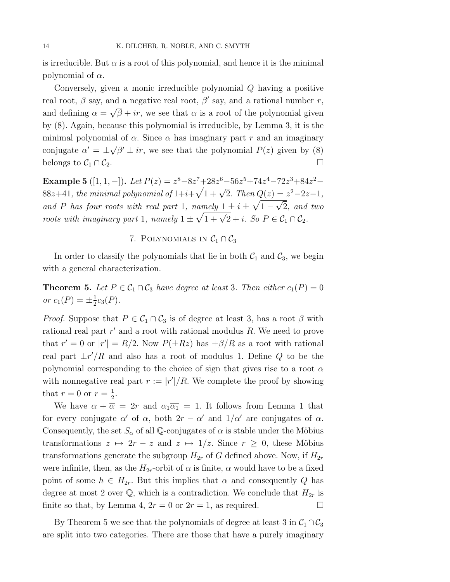is irreducible. But  $\alpha$  is a root of this polynomial, and hence it is the minimal polynomial of  $\alpha$ .

Conversely, given a monic irreducible polynomial Q having a positive real root,  $\beta$  say, and a negative real root,  $\beta'$  say, and a rational number r, and defining  $\alpha = \sqrt{\beta} + ir$ , we see that  $\alpha$  is a root of the polynomial given by (8). Again, because this polynomial is irreducible, by Lemma 3, it is the minimal polynomial of  $\alpha$ . Since  $\alpha$  has imaginary part r and an imaginary conjugate  $\alpha' = \pm \sqrt{\beta'} \pm ir$ , we see that the polynomial  $P(z)$  given by (8) belongs to  $\mathcal{C}_1 \cap \mathcal{C}_2$ .

Example 5 ([1, 1, -]). Let  $P(z) = z^8 - 8z^7 + 28z^6 - 56z^5 + 74z^4 - 72z^3 + 84z^2 -$ 88z+41, the minimal polynomial of  $1+i+\sqrt{1+\sqrt{2}}$ . Then  $Q(z) = z^2-2z-1$ , and P has four roots with real part 1, namely  $1 \pm i \pm \sqrt{1-\sqrt{2}}$ , and two roots with imaginary part 1, namely  $1 \pm \sqrt{1 + \sqrt{2}} + i$ . So  $P \in C_1 \cap C_2$ .

# 7. POLYNOMIALS IN  $C_1 \cap C_3$

In order to classify the polynomials that lie in both  $C_1$  and  $C_3$ , we begin with a general characterization.

**Theorem 5.** Let  $P \in C_1 \cap C_3$  have degree at least 3. Then either  $c_1(P)=0$ or  $c_1(P) = \pm \frac{1}{2} c_3(P)$ .

*Proof.* Suppose that  $P \in C_1 \cap C_3$  is of degree at least 3, has a root  $\beta$  with rational real part  $r'$  and a root with rational modulus  $R$ . We need to prove that  $r' = 0$  or  $|r'| = R/2$ . Now  $P(\pm Rz)$  has  $\pm \beta/R$  as a root with rational real part  $\pm r'/R$  and also has a root of modulus 1. Define Q to be the polynomial corresponding to the choice of sign that gives rise to a root  $\alpha$ with nonnegative real part  $r := |r'|/R$ . We complete the proof by showing that  $r = 0$  or  $r = \frac{1}{2}$ .

We have  $\alpha + \overline{\alpha} = 2r$  and  $\alpha_1 \overline{\alpha_1} = 1$ . It follows from Lemma 1 that for every conjugate  $\alpha'$  of  $\alpha$ , both  $2r - \alpha'$  and  $1/\alpha'$  are conjugates of  $\alpha$ . Consequently, the set  $S_\alpha$  of all Q-conjugates of  $\alpha$  is stable under the Möbius transformations  $z \mapsto 2r - z$  and  $z \mapsto 1/z$ . Since  $r \geq 0$ , these Möbius transformations generate the subgroup  $H_{2r}$  of G defined above. Now, if  $H_{2r}$ were infinite, then, as the  $H_{2r}$ -orbit of  $\alpha$  is finite,  $\alpha$  would have to be a fixed point of some  $h \in H_{2r}$ . But this implies that  $\alpha$  and consequently Q has degree at most 2 over  $\mathbb{Q}$ , which is a contradiction. We conclude that  $H_{2r}$  is finite so that, by Lemma 4,  $2r = 0$  or  $2r = 1$ , as required.

By Theorem 5 we see that the polynomials of degree at least 3 in  $C_1 \cap C_3$ are split into two categories. There are those that have a purely imaginary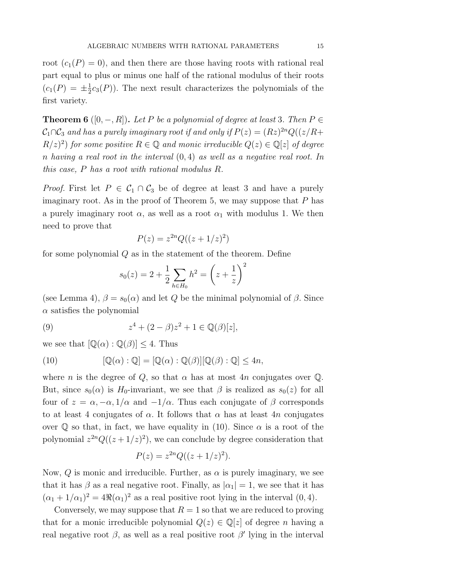root  $(c_1(P) = 0)$ , and then there are those having roots with rational real part equal to plus or minus one half of the rational modulus of their roots  $(c_1(P) = \pm \frac{1}{2}c_3(P))$ . The next result characterizes the polynomials of the first variety.

**Theorem 6** ([0, -, R]). Let P be a polynomial of degree at least 3. Then  $P \in$  $C_1 \cap C_3$  and has a purely imaginary root if and only if  $P(z)=(Rz)^{2n}Q((z/R+\sqrt{z}))$  $R(z)^2$  for some positive  $R \in \mathbb{Q}$  and monic irreducible  $Q(z) \in \mathbb{Q}[z]$  of degree n having a real root in the interval  $(0, 4)$  as well as a negative real root. In this case, P has a root with rational modulus R.

*Proof.* First let  $P \in C_1 \cap C_3$  be of degree at least 3 and have a purely imaginary root. As in the proof of Theorem 5, we may suppose that  $P$  has a purely imaginary root  $\alpha$ , as well as a root  $\alpha_1$  with modulus 1. We then need to prove that

$$
P(z) = z^{2n} Q((z+1/z)^2)
$$

for some polynomial  $Q$  as in the statement of the theorem. Define

$$
s_0(z) = 2 + \frac{1}{2} \sum_{h \in H_0} h^2 = \left(z + \frac{1}{z}\right)^2
$$

(see Lemma 4),  $\beta = s_0(\alpha)$  and let Q be the minimal polynomial of  $\beta$ . Since  $\alpha$  satisfies the polynomial

(9) 
$$
z^4 + (2 - \beta)z^2 + 1 \in \mathbb{Q}(\beta)[z],
$$

we see that  $[\mathbb{Q}(\alpha):\mathbb{Q}(\beta)]\leq 4$ . Thus

(10) 
$$
[\mathbb{Q}(\alpha) : \mathbb{Q}] = [\mathbb{Q}(\alpha) : \mathbb{Q}(\beta)][\mathbb{Q}(\beta) : \mathbb{Q}] \leq 4n,
$$

where *n* is the degree of Q, so that  $\alpha$  has at most 4*n* conjugates over Q. But, since  $s_0(\alpha)$  is H<sub>0</sub>-invariant, we see that  $\beta$  is realized as  $s_0(z)$  for all four of  $z = \alpha, -\alpha, 1/\alpha$  and  $-1/\alpha$ . Thus each conjugate of  $\beta$  corresponds to at least 4 conjugates of  $\alpha$ . It follows that  $\alpha$  has at least 4n conjugates over  $\mathbb Q$  so that, in fact, we have equality in (10). Since  $\alpha$  is a root of the polynomial  $z^{2n}Q((z+1/z)^2)$ , we can conclude by degree consideration that

$$
P(z) = z^{2n} Q((z + 1/z)^2).
$$

Now,  $Q$  is monic and irreducible. Further, as  $\alpha$  is purely imaginary, we see that it has  $\beta$  as a real negative root. Finally, as  $|\alpha_1|=1$ , we see that it has  $(\alpha_1 + 1/\alpha_1)^2 = 4\Re(\alpha_1)^2$  as a real positive root lying in the interval  $(0, 4)$ .

Conversely, we may suppose that  $R = 1$  so that we are reduced to proving that for a monic irreducible polynomial  $Q(z) \in \mathbb{Q}[z]$  of degree *n* having a real negative root  $\beta$ , as well as a real positive root  $\beta'$  lying in the interval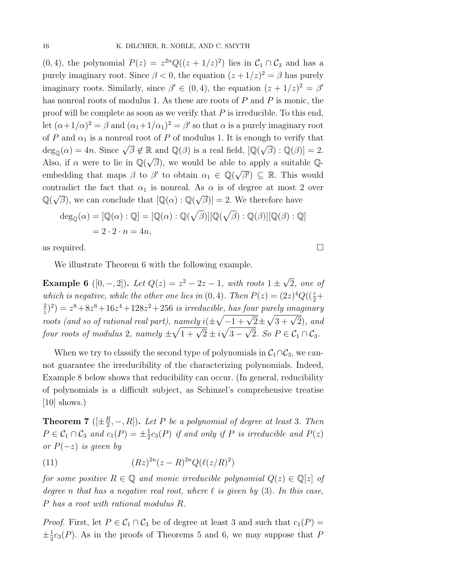(0, 4), the polynomial  $P(z) = z^{2n}Q((z + 1/z)^2)$  lies in  $C_1 \cap C_3$  and has a purely imaginary root. Since  $\beta < 0$ , the equation  $(z + 1/z)^2 = \beta$  has purely imaginary roots. Similarly, since  $\beta' \in (0, 4)$ , the equation  $(z + 1/z)^2 = \beta'$ has nonreal roots of modulus 1. As these are roots of P and P is monic, the proof will be complete as soon as we verify that  $P$  is irreducible. To this end, let  $(\alpha+1/\alpha)^2 = \beta$  and  $(\alpha_1+1/\alpha_1)^2 = \beta'$  so that  $\alpha$  is a purely imaginary root of P and  $\alpha_1$  is a nonreal root of P of modulus 1. It is enough to verify that  $deg_{\mathbb{Q}}(\alpha) = 4n$ . Since  $\sqrt{\beta} \notin \mathbb{R}$  and  $\mathbb{Q}(\beta)$  is a real field,  $[\mathbb{Q}(\sqrt{\beta}) : \mathbb{Q}(\beta)] = 2$ . Also, if  $\alpha$  were to lie in  $\mathbb{Q}(\sqrt{\beta})$ , we would be able to apply a suitable  $\mathbb{Q}$ embedding that maps  $\beta$  to  $\beta'$  to obtain  $\alpha_1 \in \mathbb{Q}(\sqrt{\beta'}) \subseteq \mathbb{R}$ . This would contradict the fact that  $\alpha_1$  is nonreal. As  $\alpha$  is of degree at most 2 over  $\mathbb{Q}(\sqrt{\beta})$ , we can conclude that  $[\mathbb{Q}(\alpha):\mathbb{Q}(\sqrt{\beta})]=2$ . We therefore have

$$
\deg_{\mathbb{Q}}(\alpha) = [\mathbb{Q}(\alpha) : \mathbb{Q}] = [\mathbb{Q}(\alpha) : \mathbb{Q}(\sqrt{\beta})][\mathbb{Q}(\sqrt{\beta}) : \mathbb{Q}(\beta)][\mathbb{Q}(\beta) : \mathbb{Q}]
$$
  
= 2 \cdot 2 \cdot n = 4n,

as required.  $\Box$ 

We illustrate Theorem 6 with the following example.

**Example 6** ([0, -, 2]). Let  $Q(z) = z^2 - 2z - 1$ , with roots  $1 \pm \sqrt{2}$ , one of which is negative, while the other one lies in  $(0, 4)$ . Then  $P(z) = (2z)^4 Q((\frac{z}{2} +$  $(z^2(z)^2) = z^8 + 8z^6 + 16z^4 + 128z^2 + 256$  is irreducible, has four purely imaginary roots (and so of rational real part), namely  $i(\pm\sqrt{-1+\sqrt{2}} \pm \sqrt{3+\sqrt{2}})$ , and four roots of modulus 2, namely  $\pm\sqrt{1+\sqrt{2}} \pm i\sqrt{3-\sqrt{2}}$ . So  $P \in C_1 \cap C_3$ .

When we try to classify the second type of polynomials in  $C_1 \cap C_3$ , we cannot guarantee the irreducibility of the characterizing polynomials. Indeed, Example 8 below shows that reducibility can occur. (In general, reducibility of polynomials is a difficult subject, as Schinzel's comprehensive treatise  $[10]$  shows.)

**Theorem 7** ( $[\pm \frac{R}{2}, -, R]$ ). Let P be a polynomial of degree at least 3. Then  $P \in C_1 \cap C_3$  and  $c_1(P) = \pm \frac{1}{2}c_3(P)$  if and only if P is irreducible and  $P(z)$ or  $P(-z)$  is given by

(11) 
$$
(Rz)^{2n}(z-R)^{2n}Q(\ell(z/R)^2)
$$

for some positive  $R \in \mathbb{Q}$  and monic irreducible polynomial  $Q(z) \in \mathbb{Q}[z]$  of degree n that has a negative real root, where  $\ell$  is given by (3). In this case, P has a root with rational modulus R.

*Proof.* First, let  $P \in C_1 \cap C_3$  be of degree at least 3 and such that  $c_1(P)$  =  $\pm \frac{1}{2} c_3(P)$ . As in the proofs of Theorems 5 and 6, we may suppose that P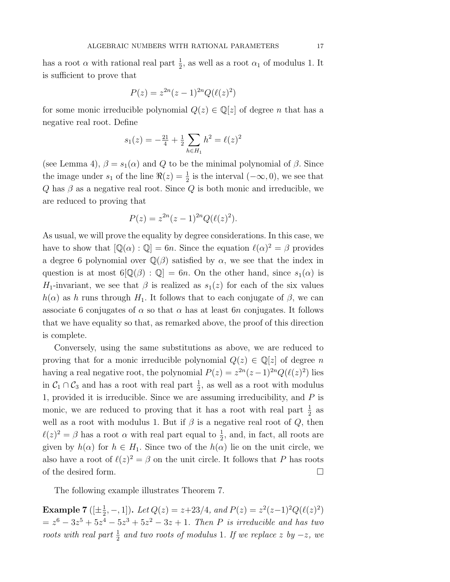has a root  $\alpha$  with rational real part  $\frac{1}{2}$ , as well as a root  $\alpha_1$  of modulus 1. It is sufficient to prove that

$$
P(z) = z^{2n}(z-1)^{2n}Q(\ell(z)^2)
$$

for some monic irreducible polynomial  $Q(z) \in \mathbb{Q}[z]$  of degree *n* that has a negative real root. Define

$$
s_1(z) = -\frac{21}{4} + \frac{1}{2} \sum_{h \in H_1} h^2 = \ell(z)^2
$$

(see Lemma 4),  $\beta = s_1(\alpha)$  and Q to be the minimal polynomial of  $\beta$ . Since the image under  $s_1$  of the line  $\Re(z) = \frac{1}{2}$  is the interval  $(-\infty, 0)$ , we see that Q has  $\beta$  as a negative real root. Since Q is both monic and irreducible, we are reduced to proving that

$$
P(z) = z^{2n}(z-1)^{2n}Q(\ell(z)^{2}).
$$

As usual, we will prove the equality by degree considerations. In this case, we have to show that  $[\mathbb{Q}(\alpha) : \mathbb{Q}] = 6n$ . Since the equation  $\ell(\alpha)^2 = \beta$  provides a degree 6 polynomial over  $\mathbb{Q}(\beta)$  satisfied by  $\alpha$ , we see that the index in question is at most  $6\mathbb{Q}(\beta)$ :  $\mathbb{Q}=\mathbb{G}n$ . On the other hand, since  $s_1(\alpha)$  is  $H_1$ -invariant, we see that  $\beta$  is realized as  $s_1(z)$  for each of the six values  $h(\alpha)$  as h runs through  $H_1$ . It follows that to each conjugate of  $\beta$ , we can associate 6 conjugates of  $\alpha$  so that  $\alpha$  has at least 6n conjugates. It follows that we have equality so that, as remarked above, the proof of this direction is complete.

Conversely, using the same substitutions as above, we are reduced to proving that for a monic irreducible polynomial  $Q(z) \in \mathbb{Q}[z]$  of degree n having a real negative root, the polynomial  $P(z) = z^{2n}(z-1)^{2n}Q(\ell(z)^2)$  lies in  $C_1 \cap C_3$  and has a root with real part  $\frac{1}{2}$ , as well as a root with modulus 1, provided it is irreducible. Since we are assuming irreducibility, and P is monic, we are reduced to proving that it has a root with real part  $\frac{1}{2}$  as well as a root with modulus 1. But if  $\beta$  is a negative real root of  $Q$ , then  $\ell(z)^2 = \beta$  has a root  $\alpha$  with real part equal to  $\frac{1}{2}$ , and, in fact, all roots are given by  $h(\alpha)$  for  $h \in H_1$ . Since two of the  $h(\alpha)$  lie on the unit circle, we also have a root of  $\ell(z)^2 = \beta$  on the unit circle. It follows that P has roots of the desired form.  $\Box$ 

The following example illustrates Theorem 7.

**Example 7** ([ $\pm \frac{1}{2}$ , -, 1]). Let  $Q(z) = z + 23/4$ , and  $P(z) = z^2(z-1)^2 Q(\ell(z)^2)$  $z = z^6 - 3z^5 + 5z^4 - 5z^3 + 5z^2 - 3z + 1$ . Then P is irreducible and has two roots with real part  $\frac{1}{2}$  and two roots of modulus 1. If we replace z by  $-z$ , we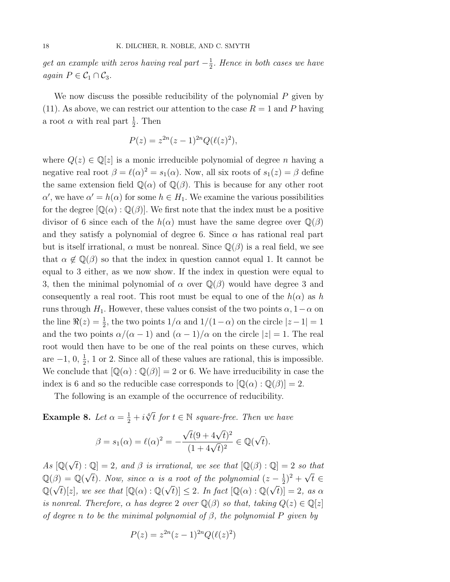get an example with zeros having real part  $-\frac{1}{2}$ . Hence in both cases we have again  $P \in C_1 \cap C_3$ .

We now discuss the possible reducibility of the polynomial  $P$  given by (11). As above, we can restrict our attention to the case  $R = 1$  and P having a root  $\alpha$  with real part  $\frac{1}{2}$ . Then

$$
P(z) = z^{2n}(z-1)^{2n}Q(\ell(z)^2),
$$

where  $Q(z) \in \mathbb{Q}[z]$  is a monic irreducible polynomial of degree *n* having a negative real root  $\beta = \ell(\alpha)^2 = s_1(\alpha)$ . Now, all six roots of  $s_1(z) = \beta$  define the same extension field  $\mathbb{Q}(\alpha)$  of  $\mathbb{Q}(\beta)$ . This is because for any other root  $\alpha'$ , we have  $\alpha' = h(\alpha)$  for some  $h \in H_1$ . We examine the various possibilities for the degree  $[\mathbb{Q}(\alpha):\mathbb{Q}(\beta)]$ . We first note that the index must be a positive divisor of 6 since each of the  $h(\alpha)$  must have the same degree over  $\mathbb{Q}(\beta)$ and they satisfy a polynomial of degree 6. Since  $\alpha$  has rational real part but is itself irrational,  $\alpha$  must be nonreal. Since  $\mathbb{Q}(\beta)$  is a real field, we see that  $\alpha \notin \mathbb{Q}(\beta)$  so that the index in question cannot equal 1. It cannot be equal to 3 either, as we now show. If the index in question were equal to 3, then the minimal polynomial of  $\alpha$  over  $\mathbb{Q}(\beta)$  would have degree 3 and consequently a real root. This root must be equal to one of the  $h(\alpha)$  as h runs through  $H_1$ . However, these values consist of the two points  $\alpha$ , 1 –  $\alpha$  on the line  $\Re(z) = \frac{1}{2}$ , the two points  $1/\alpha$  and  $1/(1-\alpha)$  on the circle  $|z-1|=1$ and the two points  $\alpha/(\alpha-1)$  and  $(\alpha-1)/\alpha$  on the circle  $|z|=1$ . The real root would then have to be one of the real points on these curves, which are  $-1, 0, \frac{1}{2}, 1$  or 2. Since all of these values are rational, this is impossible. We conclude that  $[\mathbb{Q}(\alpha):\mathbb{Q}(\beta)]=2$  or 6. We have irreducibility in case the index is 6 and so the reducible case corresponds to  $[\mathbb{Q}(\alpha) : \mathbb{Q}(\beta)] = 2$ .

The following is an example of the occurrence of reducibility.

**Example 8.** Let  $\alpha = \frac{1}{2} + i \sqrt[4]{t}$  for  $t \in \mathbb{N}$  square-free. Then we have

$$
\beta = s_1(\alpha) = \ell(\alpha)^2 = -\frac{\sqrt{t}(9 + 4\sqrt{t})^2}{(1 + 4\sqrt{t})^2} \in \mathbb{Q}(\sqrt{t}).
$$

As  $[\mathbb{Q}(\sqrt{t}):\mathbb{Q}]=2$ , and  $\beta$  is irrational, we see that  $[\mathbb{Q}(\beta):\mathbb{Q}]=2$  so that  $\mathbb{Q}(\beta) = \mathbb{Q}(\sqrt{t})$ . Now, since  $\alpha$  is a root of the polynomial  $(z - \frac{1}{2})^2 + \sqrt{t} \in$  $\mathbb{Q}(\sqrt{t})[z]$ , we see that  $[\mathbb{Q}(\alpha):\mathbb{Q}(\sqrt{t})]\leq 2$ . In fact  $[\mathbb{Q}(\alpha):\mathbb{Q}(\sqrt{t})]=2$ , as  $\alpha$ is nonreal. Therefore,  $\alpha$  has degree 2 over  $\mathbb{Q}(\beta)$  so that, taking  $Q(z) \in \mathbb{Q}[z]$ of degree n to be the minimal polynomial of  $\beta$ , the polynomial P given by

$$
P(z) = z^{2n}(z-1)^{2n}Q(\ell(z)^2)
$$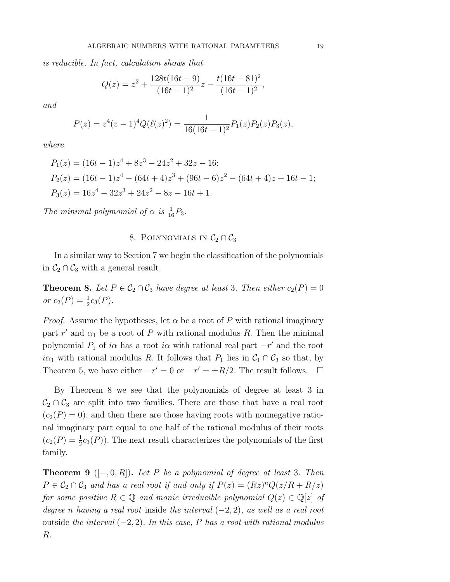is reducible. In fact, calculation shows that

$$
Q(z) = z2 + \frac{128t(16t - 9)}{(16t - 1)^{2}}z - \frac{t(16t - 81)^{2}}{(16t - 1)^{2}},
$$

and

$$
P(z) = z4(z - 1)4Q(\ell(z)2) = \frac{1}{16(16t - 1)2}P_1(z)P_2(z)P_3(z),
$$

where

$$
P_1(z) = (16t - 1)z^4 + 8z^3 - 24z^2 + 32z - 16;
$$
  
\n
$$
P_2(z) = (16t - 1)z^4 - (64t + 4)z^3 + (96t - 6)z^2 - (64t + 4)z + 16t - 1;
$$
  
\n
$$
P_3(z) = 16z^4 - 32z^3 + 24z^2 - 8z - 16t + 1.
$$

The minimal polymomial of  $\alpha$  is  $\frac{1}{16}P_3$ .

## 8. POLYNOMIALS IN  $C_2 \cap C_3$

In a similar way to Section 7 we begin the classification of the polynomials in  $C_2 \cap C_3$  with a general result.

**Theorem 8.** Let  $P \in C_2 \cap C_3$  have degree at least 3. Then either  $c_2(P)=0$ or  $c_2(P) = \frac{1}{2}c_3(P)$ .

*Proof.* Assume the hypotheses, let  $\alpha$  be a root of P with rational imaginary part r' and  $\alpha_1$  be a root of P with rational modulus R. Then the minimal polynomial  $P_1$  of i $\alpha$  has a root i $\alpha$  with rational real part  $-r'$  and the root  $i\alpha_1$  with rational modulus R. It follows that  $P_1$  lies in  $C_1 \cap C_3$  so that, by Theorem 5, we have either  $-r' = 0$  or  $-r' = \pm R/2$ . The result follows.  $\Box$ 

By Theorem 8 we see that the polynomials of degree at least 3 in  $\mathcal{C}_2 \cap \mathcal{C}_3$  are split into two families. There are those that have a real root  $(c_2(P) = 0)$ , and then there are those having roots with nonnegative rational imaginary part equal to one half of the rational modulus of their roots  $(c_2(P) = \frac{1}{2}c_3(P))$ . The next result characterizes the polynomials of the first family.

**Theorem 9** ( $[-, 0, R]$ ). Let P be a polynomial of degree at least 3. Then  $P \in C_2 \cap C_3$  and has a real root if and only if  $P(z)=(Rz)^nQ(z/R + R/z)$ for some positive  $R \in \mathbb{Q}$  and monic irreducible polynomial  $Q(z) \in \mathbb{Q}[z]$  of degree n having a real root inside the interval  $(-2, 2)$ , as well as a real root outside the interval  $(-2, 2)$ . In this case, P has a root with rational modulus R.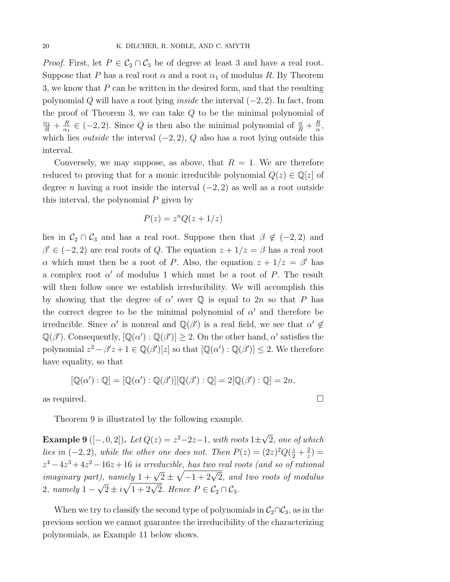*Proof.* First, let  $P \in C_2 \cap C_3$  be of degree at least 3 and have a real root. Suppose that P has a real root  $\alpha$  and a root  $\alpha_1$  of modulus R. By Theorem 3, we know that  $P$  can be written in the desired form, and that the resulting polynomial Q will have a root lying *inside* the interval  $(-2, 2)$ . In fact, from the proof of Theorem 3, we can take Q to be the minimal polynomial of  $\frac{\alpha_1}{R} + \frac{R}{\alpha_1} \in (-2, 2)$ . Since Q is then also the minimal polynomial of  $\frac{\alpha}{R} + \frac{R}{\alpha}$ , which lies *outside* the interval  $(-2, 2)$ , Q also has a root lying outside this interval.

Conversely, we may suppose, as above, that  $R = 1$ . We are therefore reduced to proving that for a monic irreducible polynomial  $Q(z) \in \mathbb{Q}[z]$  of degree *n* having a root inside the interval  $(-2, 2)$  as well as a root outside this interval, the polynomial  $P$  given by

$$
P(z) = z^n Q(z + 1/z)
$$

lies in  $C_2 \cap C_3$  and has a real root. Suppose then that  $\beta \notin (-2, 2)$  and  $\beta' \in (-2, 2)$  are real roots of Q. The equation  $z + 1/z = \beta$  has a real root α which must then be a root of P. Also, the equation  $z + 1/z = β'$  has a complex root  $\alpha'$  of modulus 1 which must be a root of P. The result will then follow once we establish irreducibility. We will accomplish this by showing that the degree of  $\alpha'$  over Q is equal to 2n so that P has the correct degree to be the minimal polynomial of  $\alpha'$  and therefore be irreducible. Since  $\alpha'$  is nonreal and  $\mathbb{Q}(\beta')$  is a real field, we see that  $\alpha' \notin$  $\mathbb{Q}(\beta')$ . Consequently,  $[\mathbb{Q}(\alpha') : \mathbb{Q}(\beta')] \geq 2$ . On the other hand,  $\alpha'$  satisfies the polynomial  $z^2 - \beta' z + 1 \in \mathbb{Q}(\beta')[z]$  so that  $[\mathbb{Q}(\alpha') : \mathbb{Q}(\beta')] \leq 2$ . We therefore have equality, so that

$$
[\mathbb{Q}(\alpha') : \mathbb{Q}] = [\mathbb{Q}(\alpha') : \mathbb{Q}(\beta')][\mathbb{Q}(\beta') : \mathbb{Q}] = 2[\mathbb{Q}(\beta') : \mathbb{Q}] = 2n,
$$

as required.

Theorem 9 is illustrated by the following example.

**Example 9** ([-, 0, 2]). Let  $Q(z) = z^2-2z-1$ , with roots  $1\pm\sqrt{2}$ , one of which lies in  $(-2, 2)$ , while the other one does not. Then  $P(z) = (2z)^2 Q(\frac{z}{2} + \frac{2}{z}) =$  $z^4 - 4z^3 + 4z^2 - 16z + 16$  is irreducible, has two real roots (and so of rational imaginary part), namely  $1 + \sqrt{2} \pm \sqrt{-1+2\sqrt{2}}$ , and two roots of modulus 2, namely  $1 - \sqrt{2} \pm i\sqrt{1+2\sqrt{2}}$ . Hence  $P \in C_2 \cap C_3$ .

When we try to classify the second type of polynomials in  $C_2 \cap C_3$ , as in the previous section we cannot guarantee the irreducibility of the characterizing polynomials, as Example 11 below shows.

$$
\qquad \qquad \Box
$$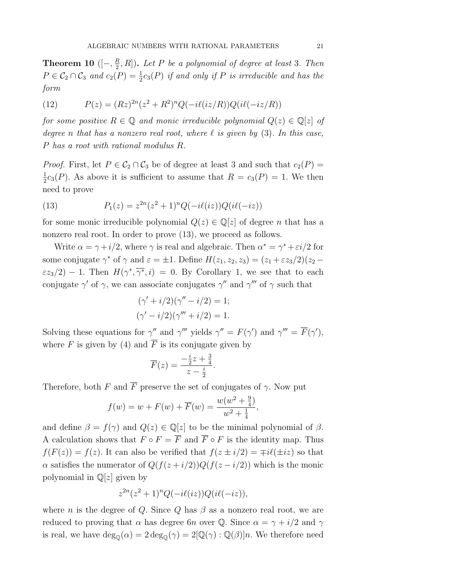**Theorem 10** ( $[-, \frac{R}{2}, R]$ ). Let P be a polynomial of degree at least 3. Then  $P \in \mathcal{C}_2 \cap \mathcal{C}_3$  and  $c_2(P) = \frac{1}{2}c_3(P)$  if and only if P is irreducible and has the form

(12) 
$$
P(z) = (Rz)^{2n}(z^2 + R^2)^n Q(-i\ell(iz/R))Q(i\ell(-iz/R))
$$

for some positive  $R \in \mathbb{Q}$  and monic irreducible polynomial  $Q(z) \in \mathbb{Q}[z]$  of degree n that has a nonzero real root, where  $\ell$  is given by (3). In this case, P has a root with rational modulus R.

*Proof.* First, let  $P \in C_2 \cap C_3$  be of degree at least 3 and such that  $c_2(P)$  =  $\frac{1}{2}c_3(P)$ . As above it is sufficient to assume that  $R = c_3(P) = 1$ . We then need to prove

(13) 
$$
P_1(z) = z^{2n}(z^2 + 1)^n Q(-i\ell(iz))Q(i\ell(-iz))
$$

for some monic irreducible polynomial  $Q(z) \in \mathbb{Q}[z]$  of degree *n* that has a nonzero real root. In order to prove  $(13)$ , we proceed as follows.

Write  $\alpha = \gamma + i/2$ , where  $\gamma$  is real and algebraic. Then  $\alpha^* = \gamma^* + \varepsilon i/2$  for some conjugate  $\gamma^*$  of  $\gamma$  and  $\varepsilon = \pm 1$ . Define  $H(z_1, z_2, z_3) = (z_1 + \varepsilon z_3/2)(z_2 \epsilon z_3/2$ ) − 1. Then  $H(\gamma^*, \overline{\gamma^*}, i) = 0$ . By Corollary 1, we see that to each conjugate  $\gamma'$  of  $\gamma$ , we can associate conjugates  $\gamma''$  and  $\gamma'''$  of  $\gamma$  such that

$$
(\gamma' + i/2)(\gamma'' - i/2) = 1;
$$
  

$$
(\gamma' - i/2)(\gamma''' + i/2) = 1.
$$

Solving these equations for  $\gamma''$  and  $\gamma'''$  yields  $\gamma'' = F(\gamma')$  and  $\gamma''' = F(\gamma')$ , where F is given by (4) and  $\overline{F}$  is its conjugate given by

$$
\overline{F}(z) = \frac{-\frac{i}{2}z + \frac{3}{4}}{z - \frac{i}{2}}.
$$

Therefore, both F and  $\overline{F}$  preserve the set of conjugates of  $\gamma$ . Now put

$$
f(w) = w + F(w) + \overline{F}(w) = \frac{w(w^{2} + \frac{9}{4})}{w^{2} + \frac{1}{4}},
$$

and define  $\beta = f(\gamma)$  and  $Q(z) \in \mathbb{Q}[z]$  to be the minimal polynomial of  $\beta$ . A calculation shows that  $F \circ F = \overline{F}$  and  $\overline{F} \circ F$  is the identity map. Thus  $f(F(z)) = f(z)$ . It can also be verified that  $f(z \pm i/2) = \mp i\ell(\pm iz)$  so that  $\alpha$  satisfies the numerator of  $Q(f(z+i/2))Q(f(z-i/2))$  which is the monic polynomial in  $\mathbb{Q}[z]$  given by

$$
z^{2n}(z^2+1)^nQ(-i\ell(iz))Q(i\ell(-iz)),
$$

where *n* is the degree of Q. Since Q has  $\beta$  as a nonzero real root, we are reduced to proving that  $\alpha$  has degree 6n over Q. Since  $\alpha = \gamma + i/2$  and  $\gamma$ is real, we have  $\deg_{\mathbb{Q}}(\alpha) = 2 \deg_{\mathbb{Q}}(\gamma) = 2[\mathbb{Q}(\gamma) : \mathbb{Q}(\beta)]n$ . We therefore need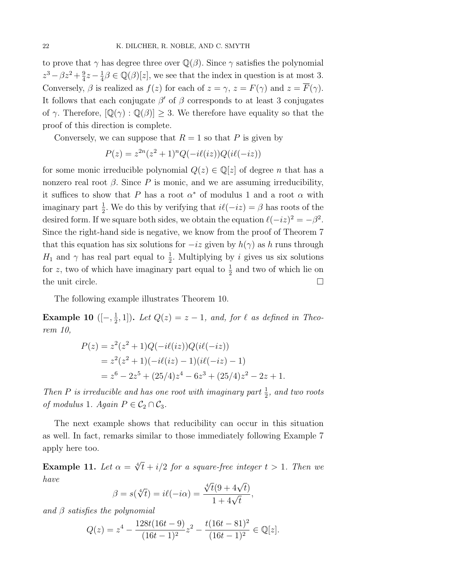to prove that  $\gamma$  has degree three over  $\mathbb{Q}(\beta)$ . Since  $\gamma$  satisfies the polynomial  $z^3 - \beta z^2 + \frac{9}{4}z - \frac{1}{4}\beta \in \mathbb{Q}(\beta)[z]$ , we see that the index in question is at most 3. Conversely,  $\beta$  is realized as  $f(z)$  for each of  $z = \gamma$ ,  $z = F(\gamma)$  and  $z = \overline{F}(\gamma)$ . It follows that each conjugate  $\beta'$  of  $\beta$  corresponds to at least 3 conjugates of  $\gamma$ . Therefore,  $[\mathbb{Q}(\gamma) : \mathbb{Q}(\beta)] \geq 3$ . We therefore have equality so that the proof of this direction is complete.

Conversely, we can suppose that  $R = 1$  so that P is given by

$$
P(z) = z^{2n}(z^2 + 1)^n Q(-i\ell(iz))Q(i\ell(-iz))
$$

for some monic irreducible polynomial  $Q(z) \in \mathbb{Q}[z]$  of degree *n* that has a nonzero real root β. Since P is monic, and we are assuming irreducibility, it suffices to show that P has a root  $\alpha^*$  of modulus 1 and a root  $\alpha$  with imaginary part  $\frac{1}{2}$ . We do this by verifying that  $i\ell(-iz) = \beta$  has roots of the desired form. If we square both sides, we obtain the equation  $\ell(-iz)^2 = -\beta^2$ . Since the right-hand side is negative, we know from the proof of Theorem 7 that this equation has six solutions for  $-iz$  given by  $h(\gamma)$  as h runs through  $H_1$  and  $\gamma$  has real part equal to  $\frac{1}{2}$ . Multiplying by *i* gives us six solutions for z, two of which have imaginary part equal to  $\frac{1}{2}$  and two of which lie on the unit circle.  $\Box$ 

The following example illustrates Theorem 10.

**Example 10** ( $[-, \frac{1}{2}, 1]$ ). Let  $Q(z) = z - 1$ , and, for  $\ell$  as defined in Theorem 10,

$$
P(z) = z2(z2 + 1)Q(-i\ell(iz))Q(i\ell(-iz))
$$
  
= z<sup>2</sup>(z<sup>2</sup> + 1)(-i\ell(iz) - 1)(i\ell(-iz) - 1)  
= z<sup>6</sup> - 2z<sup>5</sup> + (25/4)z<sup>4</sup> - 6z<sup>3</sup> + (25/4)z<sup>2</sup> - 2z + 1.

Then P is irreducible and has one root with imaginary part  $\frac{1}{2}$ , and two roots of modulus 1. Again  $P \in C_2 \cap C_3$ .

The next example shows that reducibility can occur in this situation as well. In fact, remarks similar to those immediately following Example 7 apply here too.

**Example 11.** Let  $\alpha = \sqrt[4]{t} + i/2$  for a square-free integer  $t > 1$ . Then we have

$$
\beta = s(\sqrt[4]{t}) = i\ell(-i\alpha) = \frac{\sqrt[4]{t}(9 + 4\sqrt{t})}{1 + 4\sqrt{t}},
$$

and  $\beta$  satisfies the polynomial

$$
Q(z) = z^4 - \frac{128t(16t - 9)}{(16t - 1)^2}z^2 - \frac{t(16t - 81)^2}{(16t - 1)^2} \in \mathbb{Q}[z].
$$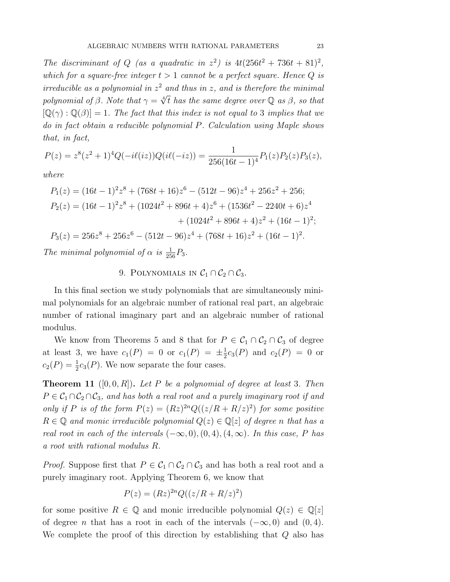The discriminant of Q (as a quadratic in  $z^2$ ) is  $4t(256t^2 + 736t + 81)^2$ , which for a square-free integer  $t > 1$  cannot be a perfect square. Hence Q is irreducible as a polynomial in  $z^2$  and thus in z, and is therefore the minimal polynomial of β. Note that  $\gamma = \sqrt[4]{t}$  has the same degree over Q as β, so that  $[\mathbb{Q}(\gamma) : \mathbb{Q}(\beta)] = 1$ . The fact that this index is not equal to 3 implies that we do in fact obtain a reducible polynomial P. Calculation using Maple shows that, in fact,

$$
P(z) = z^{8}(z^{2} + 1)^{4}Q(-i\ell(iz))Q(i\ell(-iz)) = \frac{1}{256(16t - 1)^{4}}P_{1}(z)P_{2}(z)P_{3}(z),
$$

where

$$
P_1(z) = (16t - 1)^2 z^8 + (768t + 16) z^6 - (512t - 96) z^4 + 256 z^2 + 256;
$$
  
\n
$$
P_2(z) = (16t - 1)^2 z^8 + (1024t^2 + 896t + 4) z^6 + (1536t^2 - 2240t + 6) z^4
$$
  
\n
$$
+ (1024t^2 + 896t + 4) z^2 + (16t - 1)^2;
$$
  
\n
$$
P_3(z) = 256z^8 + 256z^6 - (512t - 96) z^4 + (768t + 16) z^2 + (16t - 1)^2.
$$

The minimal polynomial of  $\alpha$  is  $\frac{1}{256}P_3$ .

# 9. POLYNOMIALS IN  $C_1 \cap C_2 \cap C_3$ .

In this final section we study polynomials that are simultaneously minimal polynomials for an algebraic number of rational real part, an algebraic number of rational imaginary part and an algebraic number of rational modulus.

We know from Theorems 5 and 8 that for  $P \in C_1 \cap C_2 \cap C_3$  of degree at least 3, we have  $c_1(P) = 0$  or  $c_1(P) = \pm \frac{1}{2} c_3(P)$  and  $c_2(P) = 0$  or  $c_2(P) = \frac{1}{2}c_3(P)$ . We now separate the four cases.

**Theorem 11** ([0, 0, R]). Let P be a polynomial of degree at least 3. Then  $P \in C_1 \cap C_2 \cap C_3$ , and has both a real root and a purely imaginary root if and only if P is of the form  $P(z)=(Rz)^{2n}Q((z/R + R/z)^2)$  for some positive  $R \in \mathbb{Q}$  and monic irreducible polynomial  $Q(z) \in \mathbb{Q}[z]$  of degree n that has a real root in each of the intervals  $(-\infty, 0), (0, 4), (4, \infty)$ . In this case, P has a root with rational modulus R.

*Proof.* Suppose first that  $P \in C_1 \cap C_2 \cap C_3$  and has both a real root and a purely imaginary root. Applying Theorem 6, we know that

$$
P(z) = (Rz)^{2n} Q((z/R + R/z)^2)
$$

for some positive  $R \in \mathbb{Q}$  and monic irreducible polynomial  $Q(z) \in \mathbb{Q}[z]$ of degree *n* that has a root in each of the intervals  $(-\infty, 0)$  and  $(0, 4)$ . We complete the proof of this direction by establishing that Q also has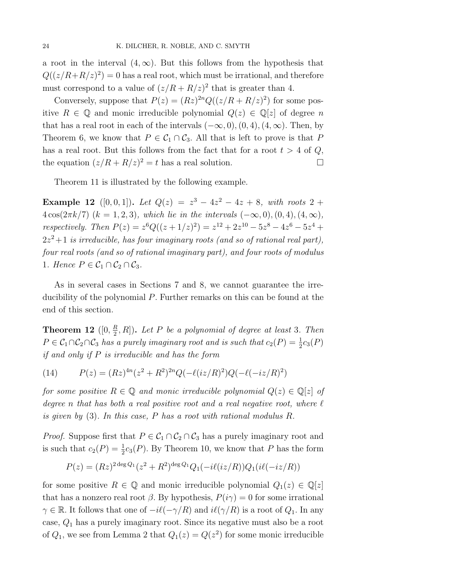a root in the interval  $(4,\infty)$ . But this follows from the hypothesis that  $Q((z/R + R/z)^2) = 0$  has a real root, which must be irrational, and therefore must correspond to a value of  $(z/R + R/z)^2$  that is greater than 4.

Conversely, suppose that  $P(z)=(Rz)^{2n}Q((z/R + R/z)^2)$  for some positive  $R \in \mathbb{Q}$  and monic irreducible polynomial  $Q(z) \in \mathbb{Q}[z]$  of degree n that has a real root in each of the intervals  $(-\infty, 0)$ ,  $(0, 4)$ ,  $(4, \infty)$ . Then, by Theorem 6, we know that  $P \in C_1 \cap C_3$ . All that is left to prove is that P has a real root. But this follows from the fact that for a root  $t > 4$  of  $Q$ , the equation  $(z/R + R/z)^2 = t$  has a real solution.

Theorem 11 is illustrated by the following example.

Example 12 ([0, 0, 1]). Let  $Q(z) = z^3 - 4z^2 - 4z + 8$ , with roots 2 +  $4\cos(2\pi k/7)$   $(k = 1, 2, 3)$ , which lie in the intervals  $(-\infty, 0), (0, 4), (4, \infty)$ , respectively. Then  $P(z) = z^6 Q((z + 1/z)^2) = z^{12} + 2z^{10} - 5z^8 - 4z^6 - 5z^4 +$  $2z^2+1$  is irreducible, has four imaginary roots (and so of rational real part), four real roots (and so of rational imaginary part), and four roots of modulus 1. Hence  $P \in C_1 \cap C_2 \cap C_3$ .

As in several cases in Sections 7 and 8, we cannot guarantee the irreducibility of the polynomial  $P$ . Further remarks on this can be found at the end of this section.

**Theorem 12** ([0,  $\frac{R}{2}$ , R]). Let P be a polynomial of degree at least 3. Then  $P \in C_1 \cap C_2 \cap C_3$  has a purely imaginary root and is such that  $c_2(P) = \frac{1}{2}c_3(P)$ if and only if P is irreducible and has the form

(14) 
$$
P(z) = (Rz)^{4n}(z^2 + R^2)^{2n}Q(-\ell(iz/R)^2)Q(-\ell(-iz/R)^2)
$$

for some positive  $R \in \mathbb{Q}$  and monic irreducible polynomial  $Q(z) \in \mathbb{Q}[z]$  of degree n that has both a real positive root and a real negative root, where  $\ell$ is given by  $(3)$ . In this case, P has a root with rational modulus R.

*Proof.* Suppose first that  $P \in C_1 \cap C_2 \cap C_3$  has a purely imaginary root and is such that  $c_2(P) = \frac{1}{2}c_3(P)$ . By Theorem 10, we know that P has the form

$$
P(z) = (Rz)^{2 \deg Q_1}(z^2 + R^2)^{\deg Q_1} Q_1(-i\ell(iz/R)) Q_1(i\ell(-iz/R))
$$

for some positive  $R \in \mathbb{Q}$  and monic irreducible polynomial  $Q_1(z) \in \mathbb{Q}[z]$ that has a nonzero real root  $\beta$ . By hypothesis,  $P(i\gamma) = 0$  for some irrational  $\gamma \in \mathbb{R}$ . It follows that one of  $-i\ell(-\gamma/R)$  and  $i\ell(\gamma/R)$  is a root of  $Q_1$ . In any case,  $Q_1$  has a purely imaginary root. Since its negative must also be a root of  $Q_1$ , we see from Lemma 2 that  $Q_1(z) = Q(z^2)$  for some monic irreducible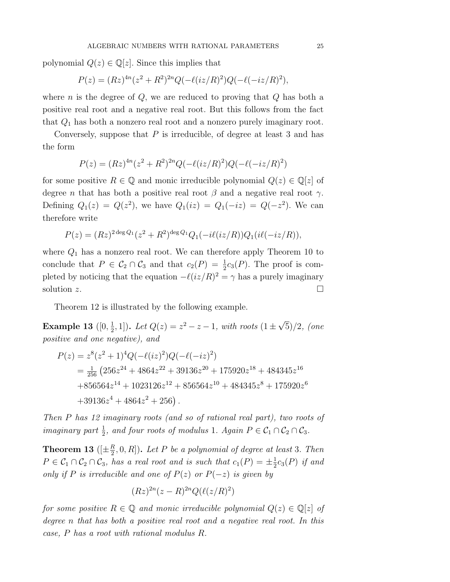polynomial  $Q(z) \in \mathbb{Q}[z]$ . Since this implies that

$$
P(z) = (Rz)^{4n}(z^2 + R^2)^{2n}Q(-\ell(iz/R)^2)Q(-\ell(-iz/R)^2),
$$

where *n* is the degree of  $Q$ , we are reduced to proving that  $Q$  has both a positive real root and a negative real root. But this follows from the fact that  $Q_1$  has both a nonzero real root and a nonzero purely imaginary root.

Conversely, suppose that  $P$  is irreducible, of degree at least 3 and has the form

$$
P(z) = (Rz)^{4n}(z^2 + R^2)^{2n}Q(-\ell(iz/R)^2)Q(-\ell(-iz/R)^2)
$$

for some positive  $R \in \mathbb{Q}$  and monic irreducible polynomial  $Q(z) \in \mathbb{Q}[z]$  of degree *n* that has both a positive real root  $\beta$  and a negative real root  $\gamma$ . Defining  $Q_1(z) = Q(z^2)$ , we have  $Q_1(iz) = Q_1(-iz) = Q(-z^2)$ . We can therefore write

$$
P(z) = (Rz)^{2 \deg Q_1}(z^2 + R^2)^{\deg Q_1} Q_1(-i\ell(iz/R)) Q_1(i\ell(-iz/R)),
$$

where  $Q_1$  has a nonzero real root. We can therefore apply Theorem 10 to conclude that  $P \in C_2 \cap C_3$  and that  $c_2(P) = \frac{1}{2}c_3(P)$ . The proof is completed by noticing that the equation  $-\ell(iz/R)^2 = \gamma$  has a purely imaginary solution z.

Theorem 12 is illustrated by the following example.

**Example 13** ([0,  $\frac{1}{2}$ , 1]). Let  $Q(z) = z^2 - z - 1$ , with roots  $(1 \pm \sqrt{5})/2$ , (one positive and one negative), and

$$
P(z) = z^{8}(z^{2} + 1)^{4}Q(-\ell(iz)^{2})Q(-\ell(-iz)^{2})
$$
  
=  $\frac{1}{256}$  (256z<sup>24</sup> + 4864z<sup>22</sup> + 39136z<sup>20</sup> + 175920z<sup>18</sup> + 484345z<sup>16</sup>  
+856564z<sup>14</sup> + 1023126z<sup>12</sup> + 856564z<sup>10</sup> + 484345z<sup>8</sup> + 175920z<sup>6</sup>  
+39136z<sup>4</sup> + 4864z<sup>2</sup> + 256).

Then P has 12 imaginary roots (and so of rational real part), two roots of imaginary part  $\frac{1}{2}$ , and four roots of modulus 1. Again  $P \in C_1 \cap C_2 \cap C_3$ .

**Theorem 13** ( $[\pm \frac{R}{2}, 0, R]$ ). Let P be a polynomial of degree at least 3. Then  $P \in C_1 \cap C_2 \cap C_3$ , has a real root and is such that  $c_1(P) = \pm \frac{1}{2} c_3(P)$  if and only if P is irreducible and one of  $P(z)$  or  $P(-z)$  is given by

$$
(Rz)^{2n}(z-R)^{2n}Q(\ell(z/R)^2)
$$

for some positive  $R \in \mathbb{Q}$  and monic irreducible polynomial  $Q(z) \in \mathbb{Q}[z]$  of degree n that has both a positive real root and a negative real root. In this case, P has a root with rational modulus R.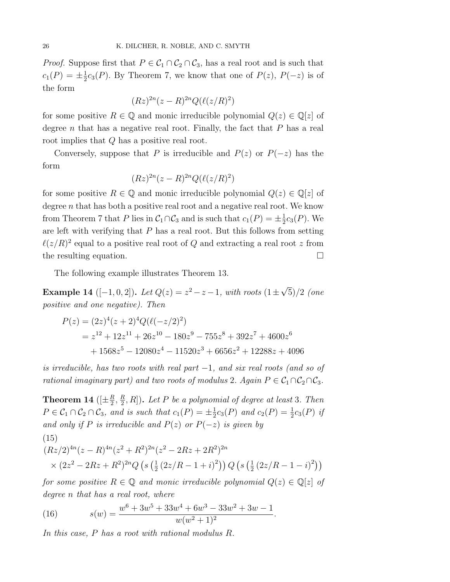*Proof.* Suppose first that  $P \in C_1 \cap C_2 \cap C_3$ , has a real root and is such that  $c_1(P) = \pm \frac{1}{2}c_3(P)$ . By Theorem 7, we know that one of  $P(z)$ ,  $P(-z)$  is of the form

$$
(Rz)^{2n}(z-R)^{2n}Q(\ell(z/R)^2)
$$

for some positive  $R \in \mathbb{Q}$  and monic irreducible polynomial  $Q(z) \in \mathbb{Q}[z]$  of degree n that has a negative real root. Finally, the fact that  $P$  has a real root implies that Q has a positive real root.

Conversely, suppose that P is irreducible and  $P(z)$  or  $P(-z)$  has the form

$$
(Rz)^{2n}(z-R)^{2n}Q(\ell(z/R)^2)
$$

for some positive  $R \in \mathbb{Q}$  and monic irreducible polynomial  $Q(z) \in \mathbb{Q}[z]$  of degree n that has both a positive real root and a negative real root. We know from Theorem 7 that P lies in  $C_1 \cap C_3$  and is such that  $c_1(P) = \pm \frac{1}{2} c_3(P)$ . We are left with verifying that  $P$  has a real root. But this follows from setting  $\ell(z/R)^2$  equal to a positive real root of Q and extracting a real root z from the resulting equation.  $\Box$ 

The following example illustrates Theorem 13.

Example 14 ([-1, 0, 2]). Let  $Q(z) = z^2 - z - 1$ , with roots  $(1 \pm \sqrt{5})/2$  (one positive and one negative). Then

$$
P(z) = (2z)^{4}(z+2)^{4}Q(\ell(-z/2)^{2})
$$
  
=  $z^{12} + 12z^{11} + 26z^{10} - 180z^{9} - 755z^{8} + 392z^{7} + 4600z^{6}$   
+  $1568z^{5} - 12080z^{4} - 11520z^{3} + 6656z^{2} + 12288z + 4096$ 

is irreducible, has two roots with real part  $-1$ , and six real roots (and so of rational imaginary part) and two roots of modulus 2. Again  $P \in C_1 \cap C_2 \cap C_3$ .

**Theorem 14** ( $[\pm \frac{R}{2}, \frac{R}{2}, R]$ ). Let P be a polynomial of degree at least 3. Then  $P \in C_1 \cap C_2 \cap C_3$ , and is such that  $c_1(P) = \pm \frac{1}{2} c_3(P)$  and  $c_2(P) = \frac{1}{2} c_3(P)$  if and only if P is irreducible and  $P(z)$  or  $P(-z)$  is given by

(15)  
\n
$$
(Rz/2)^{4n}(z-R)^{4n}(z^2+R^2)^{2n}(z^2-2Rz+2R^2)^{2n}
$$
\n
$$
\times (2z^2-2Rz+R^2)^{2n}Q\left(s\left(\frac{1}{2}(2z/R-1+i)^2\right)\right)Q\left(s\left(\frac{1}{2}(2z/R-1-i)^2\right)\right)
$$

for some positive  $R \in \mathbb{Q}$  and monic irreducible polynomial  $Q(z) \in \mathbb{Q}[z]$  of degree n that has a real root, where

(16) 
$$
s(w) = \frac{w^6 + 3w^5 + 33w^4 + 6w^3 - 33w^2 + 3w - 1}{w(w^2 + 1)^2}.
$$

In this case, P has a root with rational modulus R.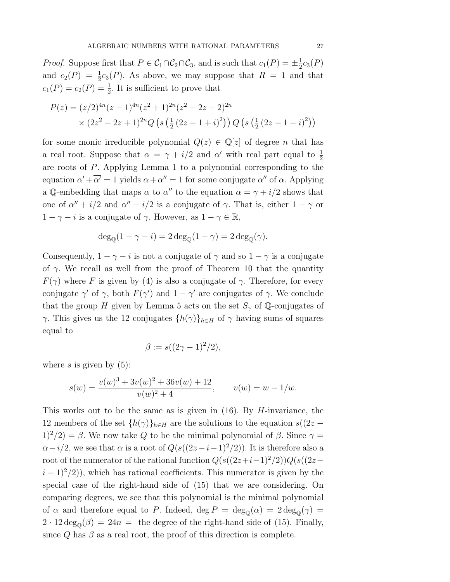*Proof.* Suppose first that  $P \in C_1 \cap C_2 \cap C_3$ , and is such that  $c_1(P) = \pm \frac{1}{2}c_3(P)$ and  $c_2(P) = \frac{1}{2}c_3(P)$ . As above, we may suppose that  $R = 1$  and that  $c_1(P) = c_2(P) = \frac{1}{2}$ . It is sufficient to prove that

$$
P(z) = (z/2)^{4n} (z-1)^{4n} (z^2+1)^{2n} (z^2-2z+2)^{2n}
$$
  
×  $(2z^2-2z+1)^{2n} Q \left(s \left(\frac{1}{2} (2z-1+i)^2\right)\right) Q \left(s \left(\frac{1}{2} (2z-1-i)^2\right)\right)$ 

for some monic irreducible polynomial  $Q(z) \in \mathbb{Q}[z]$  of degree *n* that has a real root. Suppose that  $\alpha = \gamma + i/2$  and  $\alpha'$  with real part equal to  $\frac{1}{2}$ are roots of P. Applying Lemma 1 to a polynomial corresponding to the equation  $\alpha' + \alpha' = 1$  yields  $\alpha + \alpha'' = 1$  for some conjugate  $\alpha''$  of  $\alpha$ . Applying a Q-embedding that maps  $\alpha$  to  $\alpha''$  to the equation  $\alpha = \gamma + i/2$  shows that one of  $\alpha'' + i/2$  and  $\alpha'' - i/2$  is a conjugate of  $\gamma$ . That is, either  $1 - \gamma$  or  $1 - \gamma - i$  is a conjugate of  $\gamma$ . However, as  $1 - \gamma \in \mathbb{R}$ ,

$$
\deg_{\mathbb{Q}}(1-\gamma-i) = 2 \deg_{\mathbb{Q}}(1-\gamma) = 2 \deg_{\mathbb{Q}}(\gamma).
$$

Consequently,  $1 - \gamma - i$  is not a conjugate of  $\gamma$  and so  $1 - \gamma$  is a conjugate of  $\gamma$ . We recall as well from the proof of Theorem 10 that the quantity  $F(\gamma)$  where F is given by (4) is also a conjugate of  $\gamma$ . Therefore, for every conjugate  $\gamma'$  of  $\gamma$ , both  $F(\gamma')$  and  $1 - \gamma'$  are conjugates of  $\gamma$ . We conclude that the group H given by Lemma 5 acts on the set  $S_{\gamma}$  of Q-conjugates of γ. This gives us the 12 conjugates  $\{h(\gamma)\}_{h\in H}$  of  $\gamma$  having sums of squares equal to

$$
\beta := s((2\gamma - 1)^2/2),
$$

where s is given by  $(5)$ :

$$
s(w) = \frac{v(w)^3 + 3v(w)^2 + 36v(w) + 12}{v(w)^2 + 4}, \qquad v(w) = w - 1/w.
$$

This works out to be the same as is given in  $(16)$ . By *H*-invariance, the 12 members of the set  $\{h(\gamma)\}_{h\in H}$  are the solutions to the equation  $s((2z 1)^2/2 = \beta$ . We now take Q to be the minimal polynomial of  $\beta$ . Since  $\gamma =$  $\alpha-i/2$ , we see that  $\alpha$  is a root of  $Q(s((2z-i-1)^2/2))$ . It is therefore also a root of the numerator of the rational function  $Q(s((2z+i-1)^2/2))Q(s((2z (i-1)^2/2$ ), which has rational coefficients. This numerator is given by the special case of the right-hand side of (15) that we are considering. On comparing degrees, we see that this polynomial is the minimal polynomial of  $\alpha$  and therefore equal to P. Indeed, deg  $P = \deg_{\mathcal{O}}(\alpha) = 2 \deg_{\mathcal{O}}(\gamma) =$  $2 \cdot 12 \deg_{\mathcal{O}}(\beta) = 24n =$  the degree of the right-hand side of (15). Finally, since  $Q$  has  $\beta$  as a real root, the proof of this direction is complete.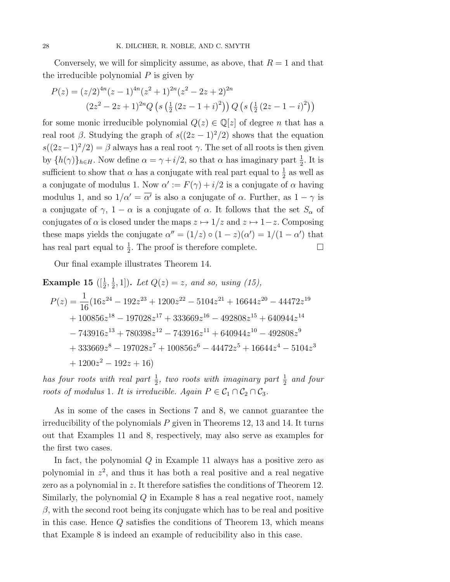Conversely, we will for simplicity assume, as above, that  $R = 1$  and that the irreducible polynomial  $P$  is given by

$$
P(z) = (z/2)^{4n} (z-1)^{4n} (z^2+1)^{2n} (z^2-2z+2)^{2n}
$$
  

$$
(2z^2-2z+1)^{2n} Q\left(s\left(\frac{1}{2}(2z-1+i)^2\right)\right) Q\left(s\left(\frac{1}{2}(2z-1-i)^2\right)\right)
$$

for some monic irreducible polynomial  $Q(z) \in \mathbb{Q}[z]$  of degree *n* that has a real root  $\beta$ . Studying the graph of  $s((2z-1)^2/2)$  shows that the equation  $s((2z-1)^2/2) = \beta$  always has a real root  $\gamma$ . The set of all roots is then given by  $\{h(\gamma)\}_{h\in H}$ . Now define  $\alpha = \gamma + i/2$ , so that  $\alpha$  has imaginary part  $\frac{1}{2}$ . It is sufficient to show that  $\alpha$  has a conjugate with real part equal to  $\frac{1}{2}$  as well as a conjugate of modulus 1. Now  $\alpha' := F(\gamma) + i/2$  is a conjugate of  $\alpha$  having modulus 1, and so  $1/\alpha' = \alpha'$  is also a conjugate of  $\alpha$ . Further, as  $1 - \gamma$  is a conjugate of  $\gamma$ ,  $1 - \alpha$  is a conjugate of  $\alpha$ . It follows that the set  $S_{\alpha}$  of conjugates of  $\alpha$  is closed under the maps  $z \mapsto 1/z$  and  $z \mapsto 1-z$ . Composing these maps yields the conjugate  $\alpha'' = (1/z) \circ (1 - z)(\alpha') = 1/(1 - \alpha')$  that has real part equal to  $\frac{1}{2}$ . The proof is therefore complete.  $\Box$ 

Our final example illustrates Theorem 14.

**Example 15** ([
$$
\frac{1}{2}
$$
,  $\frac{1}{2}$ , 1]). Let  $Q(z) = z$ , and so, using (15),  
\n
$$
P(z) = \frac{1}{16} (16z^{24} - 192z^{23} + 1200z^{22} - 5104z^{21} + 16644z^{20} - 44472z^{19} + 100856z^{18} - 197028z^{17} + 333669z^{16} - 492808z^{15} + 640944z^{14} - 743916z^{13} + 780398z^{12} - 743916z^{11} + 640944z^{10} - 492808z^9 + 333669z^8 - 197028z^7 + 100856z^6 - 44472z^5 + 16644z^4 - 5104z^3 + 1200z^2 - 192z + 16)
$$

has four roots with real part  $\frac{1}{2}$ , two roots with imaginary part  $\frac{1}{2}$  and four roots of modulus 1. It is irreducible. Again  $P \in C_1 \cap C_2 \cap C_3$ .

As in some of the cases in Sections 7 and 8, we cannot guarantee the irreducibility of the polynomials  $P$  given in Theorems 12, 13 and 14. It turns out that Examples 11 and 8, respectively, may also serve as examples for the first two cases.

In fact, the polynomial  $Q$  in Example 11 always has a positive zero as polynomial in  $z^2$ , and thus it has both a real positive and a real negative zero as a polynomial in z. It therefore satisfies the conditions of Theorem 12. Similarly, the polynomial  $Q$  in Example 8 has a real negative root, namely  $\beta$ , with the second root being its conjugate which has to be real and positive in this case. Hence  $Q$  satisfies the conditions of Theorem 13, which means that Example 8 is indeed an example of reducibility also in this case.